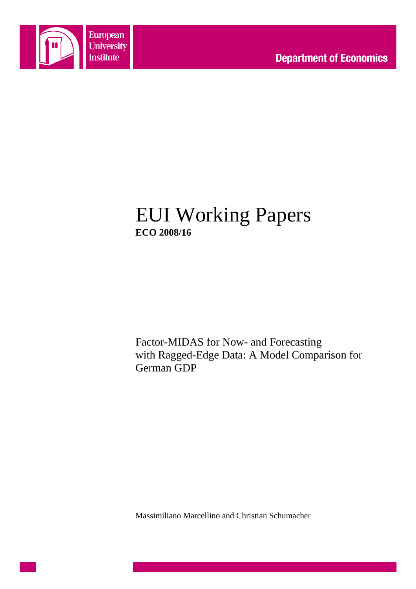

## EUI Working Papers **ECO 2008/16**

Factor-MIDAS for Now- and Forecasting with Ragged-Edge Data: A Model Comparison for German GDP

Massimiliano Marcellino and Christian Schumacher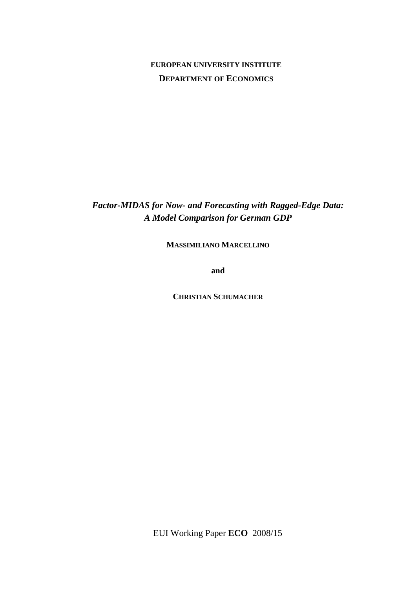### **EUROPEAN UNIVERSITY INSTITUTE DEPARTMENT OF ECONOMICS**

*Factor-MIDAS for Now- and Forecasting with Ragged-Edge Data: A Model Comparison for German GDP*

**MASSIMILIANO MARCELLINO**

**and** 

**CHRISTIAN SCHUMACHER**

EUI Working Paper **ECO** 2008/15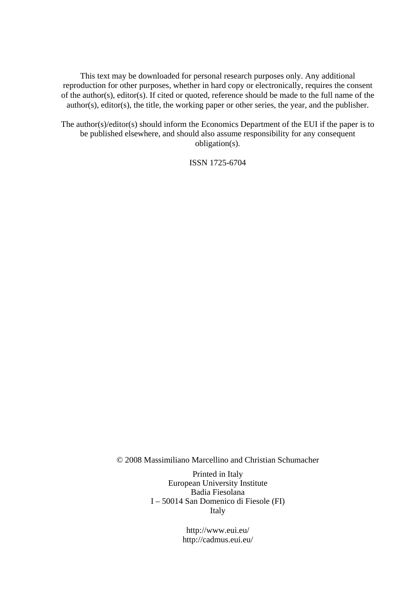This text may be downloaded for personal research purposes only. Any additional reproduction for other purposes, whether in hard copy or electronically, requires the consent of the author(s), editor(s). If cited or quoted, reference should be made to the full name of the author(s), editor(s), the title, the working paper or other series, the year, and the publisher.

The author(s)/editor(s) should inform the Economics Department of the EUI if the paper is to be published elsewhere, and should also assume responsibility for any consequent obligation(s).

ISSN 1725-6704

© 2008 Massimiliano Marcellino and Christian Schumacher

Printed in Italy European University Institute Badia Fiesolana I – 50014 San Domenico di Fiesole (FI) Italy

> http://www.eui.eu/ http://cadmus.eui.eu/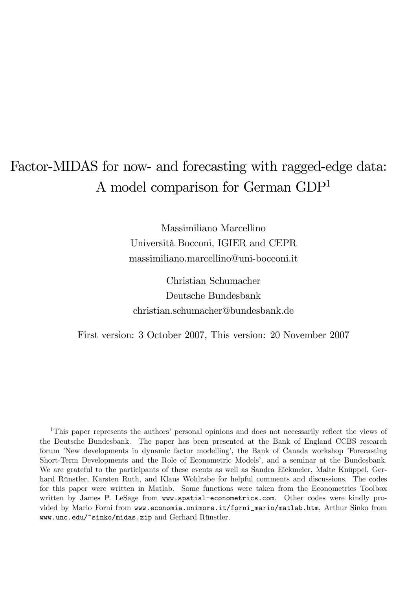# Factor-MIDAS for now- and forecasting with ragged-edge data: A model comparison for German GDP<sup>1</sup>

Massimiliano Marcellino Università Bocconi, IGIER and CEPR massimiliano.marcellino@uni-bocconi.it

Christian Schumacher Deutsche Bundesbank christian.schumacher@bundesbank.de

First version: 3 October 2007, This version: 20 November 2007

<sup>1</sup>This paper represents the authors' personal opinions and does not necessarily reflect the views of the Deutsche Bundesbank. The paper has been presented at the Bank of England CCBS research forum 'New developments in dynamic factor modelling', the Bank of Canada workshop 'Forecasting' Short-Term Developments and the Role of Econometric Modelsí, and a seminar at the Bundesbank. We are grateful to the participants of these events as well as Sandra Eickmeier, Malte Knüppel, Gerhard Rünstler, Karsten Ruth, and Klaus Wohlrabe for helpful comments and discussions. The codes for this paper were written in Matlab. Some functions were taken from the Econometrics Toolbox written by James P. LeSage from www.spatial-econometrics.com. Other codes were kindly provided by Mario Forni from www.economia.unimore.it/forni\_mario/matlab.htm, Arthur Sinko from www.unc.edu/~sinko/midas.zip and Gerhard Rünstler.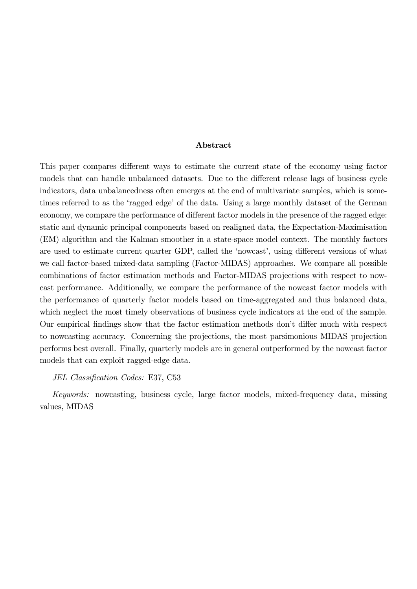#### Abstract

This paper compares different ways to estimate the current state of the economy using factor models that can handle unbalanced datasets. Due to the different release lags of business cycle indicators, data unbalancedness often emerges at the end of multivariate samples, which is sometimes referred to as the 'ragged edge' of the data. Using a large monthly dataset of the German economy, we compare the performance of different factor models in the presence of the ragged edge: static and dynamic principal components based on realigned data, the Expectation-Maximisation (EM) algorithm and the Kalman smoother in a state-space model context. The monthly factors are used to estimate current quarter GDP, called the 'nowcast', using different versions of what we call factor-based mixed-data sampling (Factor-MIDAS) approaches. We compare all possible combinations of factor estimation methods and Factor-MIDAS projections with respect to nowcast performance. Additionally, we compare the performance of the nowcast factor models with the performance of quarterly factor models based on time-aggregated and thus balanced data, which neglect the most timely observations of business cycle indicators at the end of the sample. Our empirical findings show that the factor estimation methods don't differ much with respect to nowcasting accuracy. Concerning the projections, the most parsimonious MIDAS projection performs best overall. Finally, quarterly models are in general outperformed by the nowcast factor models that can exploit ragged-edge data.

#### JEL Classification Codes: E37, C53

Keywords: nowcasting, business cycle, large factor models, mixed-frequency data, missing values, MIDAS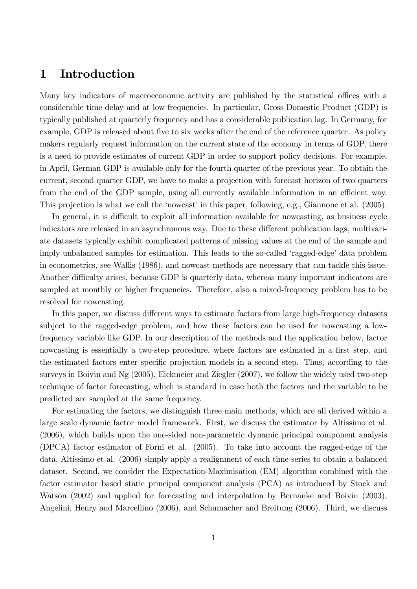### 1 Introduction

Many key indicators of macroeconomic activity are published by the statistical offices with a considerable time delay and at low frequencies. In particular, Gross Domestic Product (GDP) is typically published at quarterly frequency and has a considerable publication lag. In Germany, for example, GDP is released about five to six weeks after the end of the reference quarter. As policy makers regularly request information on the current state of the economy in terms of GDP, there is a need to provide estimates of current GDP in order to support policy decisions. For example, in April, German GDP is available only for the fourth quarter of the previous year. To obtain the current, second quarter GDP, we have to make a projection with forecast horizon of two quarters from the end of the GDP sample, using all currently available information in an efficient way. This projection is what we call the 'nowcast' in this paper, following, e.g., Giannone et al. (2005).

In general, it is difficult to exploit all information available for nowcasting, as business cycle indicators are released in an asynchronous way. Due to these different publication lags, multivariate datasets typically exhibit complicated patterns of missing values at the end of the sample and imply unbalanced samples for estimation. This leads to the so-called 'ragged-edge' data problem in econometrics, see Wallis (1986), and nowcast methods are necessary that can tackle this issue. Another difficulty arises, because GDP is quarterly data, whereas many important indicators are sampled at monthly or higher frequencies. Therefore, also a mixed-frequency problem has to be resolved for nowcasting.

In this paper, we discuss different ways to estimate factors from large high-frequency datasets subject to the ragged-edge problem, and how these factors can be used for nowcasting a lowfrequency variable like GDP. In our description of the methods and the application below, factor nowcasting is essentially a two-step procedure, where factors are estimated in a first step, and the estimated factors enter specific projection models in a second step. Thus, according to the surveys in Boivin and Ng (2005), Eickmeier and Ziegler (2007), we follow the widely used two-step technique of factor forecasting, which is standard in case both the factors and the variable to be predicted are sampled at the same frequency.

For estimating the factors, we distinguish three main methods, which are all derived within a large scale dynamic factor model framework. First, we discuss the estimator by Altissimo et al. (2006), which builds upon the one-sided non-parametric dynamic principal component analysis (DPCA) factor estimator of Forni et al. (2005). To take into account the ragged-edge of the data, Altissimo et al. (2006) simply apply a realignment of each time series to obtain a balanced dataset. Second, we consider the Expectation-Maximisation (EM) algorithm combined with the factor estimator based static principal component analysis (PCA) as introduced by Stock and Watson (2002) and applied for forecasting and interpolation by Bernanke and Boivin (2003), Angelini, Henry and Marcellino (2006), and Schumacher and Breitung (2006). Third, we discuss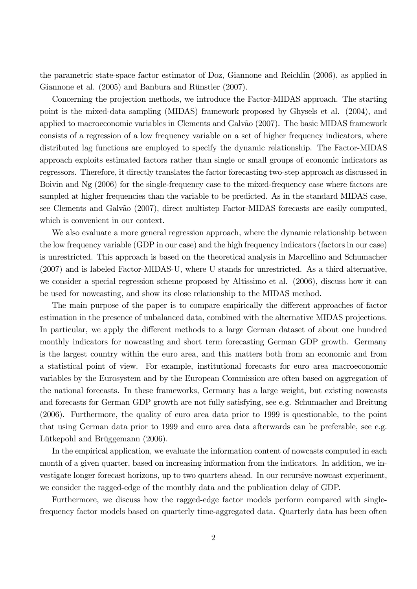the parametric state-space factor estimator of Doz, Giannone and Reichlin (2006), as applied in Giannone et al.  $(2005)$  and Banbura and Rünstler  $(2007)$ .

Concerning the projection methods, we introduce the Factor-MIDAS approach. The starting point is the mixed-data sampling (MIDAS) framework proposed by Ghysels et al. (2004), and applied to macroeconomic variables in Clements and Galvão (2007). The basic MIDAS framework consists of a regression of a low frequency variable on a set of higher frequency indicators, where distributed lag functions are employed to specify the dynamic relationship. The Factor-MIDAS approach exploits estimated factors rather than single or small groups of economic indicators as regressors. Therefore, it directly translates the factor forecasting two-step approach as discussed in Boivin and Ng (2006) for the single-frequency case to the mixed-frequency case where factors are sampled at higher frequencies than the variable to be predicted. As in the standard MIDAS case, see Clements and Galvão (2007), direct multistep Factor-MIDAS forecasts are easily computed, which is convenient in our context.

We also evaluate a more general regression approach, where the dynamic relationship between the low frequency variable (GDP in our case) and the high frequency indicators (factors in our case) is unrestricted. This approach is based on the theoretical analysis in Marcellino and Schumacher (2007) and is labeled Factor-MIDAS-U, where U stands for unrestricted. As a third alternative, we consider a special regression scheme proposed by Altissimo et al. (2006), discuss how it can be used for nowcasting, and show its close relationship to the MIDAS method.

The main purpose of the paper is to compare empirically the different approaches of factor estimation in the presence of unbalanced data, combined with the alternative MIDAS projections. In particular, we apply the different methods to a large German dataset of about one hundred monthly indicators for nowcasting and short term forecasting German GDP growth. Germany is the largest country within the euro area, and this matters both from an economic and from a statistical point of view. For example, institutional forecasts for euro area macroeconomic variables by the Eurosystem and by the European Commission are often based on aggregation of the national forecasts. In these frameworks, Germany has a large weight, but existing nowcasts and forecasts for German GDP growth are not fully satisfying, see e.g. Schumacher and Breitung (2006). Furthermore, the quality of euro area data prior to 1999 is questionable, to the point that using German data prior to 1999 and euro area data afterwards can be preferable, see e.g. Lütkepohl and Brüggemann (2006).

In the empirical application, we evaluate the information content of nowcasts computed in each month of a given quarter, based on increasing information from the indicators. In addition, we investigate longer forecast horizons, up to two quarters ahead. In our recursive nowcast experiment, we consider the ragged-edge of the monthly data and the publication delay of GDP.

Furthermore, we discuss how the ragged-edge factor models perform compared with singlefrequency factor models based on quarterly time-aggregated data. Quarterly data has been often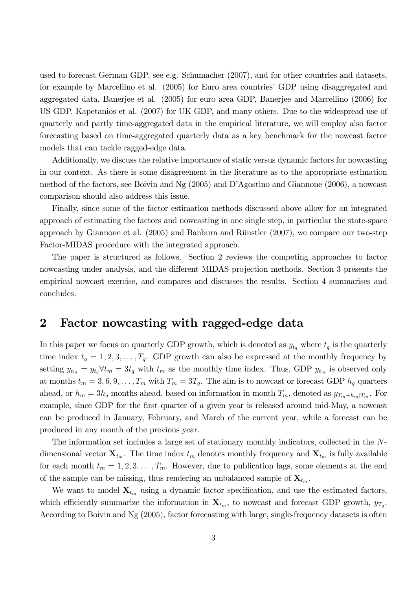used to forecast German GDP, see e.g. Schumacher (2007), and for other countries and datasets, for example by Marcellino et al. (2005) for Euro area countries' GDP using disaggregated and aggregated data, Banerjee et al. (2005) for euro area GDP, Banerjee and Marcellino (2006) for US GDP, Kapetanios et al. (2007) for UK GDP, and many others. Due to the widespread use of quarterly and partly time-aggregated data in the empirical literature, we will employ also factor forecasting based on time-aggregated quarterly data as a key benchmark for the nowcast factor models that can tackle ragged-edge data.

Additionally, we discuss the relative importance of static versus dynamic factors for nowcasting in our context. As there is some disagreement in the literature as to the appropriate estimation method of the factors, see Boivin and Ng (2005) and DíAgostino and Giannone (2006), a nowcast comparison should also address this issue.

Finally, since some of the factor estimation methods discussed above allow for an integrated approach of estimating the factors and nowcasting in one single step, in particular the state-space approach by Giannone et al.  $(2005)$  and Banbura and Rünstler  $(2007)$ , we compare our two-step Factor-MIDAS procedure with the integrated approach.

The paper is structured as follows. Section 2 reviews the competing approaches to factor nowcasting under analysis, and the different MIDAS projection methods. Section 3 presents the empirical nowcast exercise, and compares and discusses the results. Section 4 summarises and concludes.

### 2 Factor nowcasting with ragged-edge data

In this paper we focus on quarterly GDP growth, which is denoted as  $y_{t_q}$  where  $t_q$  is the quarterly time index  $t_q = 1, 2, 3, \ldots, T_q$ . GDP growth can also be expressed at the monthly frequency by setting  $y_{t_m} = y_{t_q} \forall t_m = 3t_q$  with  $t_m$  as the monthly time index. Thus, GDP  $y_{t_m}$  is observed only at months  $t_m = 3, 6, 9, \ldots, T_m$  with  $T_m = 3T_q$ . The aim is to nowcast or forecast GDP  $h_q$  quarters ahead, or  $h_m = 3h_q$  months ahead, based on information in month  $T_m$ , denoted as  $y_{T_m+h_m|T_m}$ . For example, since GDP for the first quarter of a given year is released around mid-May, a nowcast can be produced in January, February, and March of the current year, while a forecast can be produced in any month of the previous year.

The information set includes a large set of stationary monthly indicators, collected in the Ndimensional vector  $\mathbf{X}_{t_m}$ . The time index  $t_m$  denotes monthly frequency and  $\mathbf{X}_{t_m}$  is fully available for each month  $t_m = 1, 2, 3, \ldots, T_m$ . However, due to publication lags, some elements at the end of the sample can be missing, thus rendering an unbalanced sample of  $X_{t_m}$ .

We want to model  $\mathbf{X}_{t_m}$  using a dynamic factor specification, and use the estimated factors, which efficiently summarize the information in  $\mathbf{X}_{t_m}$ , to nowcast and forecast GDP growth,  $y_{T_q}$ . According to Boivin and Ng (2005), factor forecasting with large, single-frequency datasets is often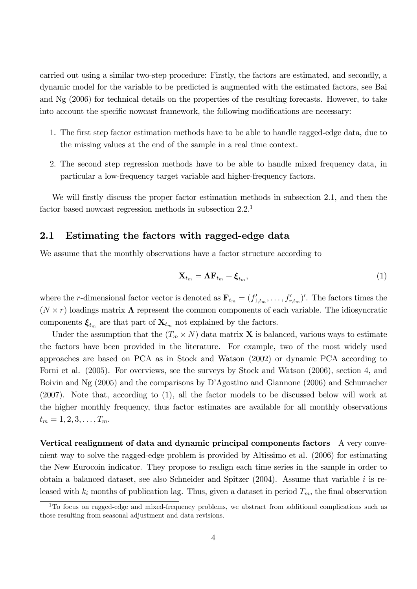carried out using a similar two-step procedure: Firstly, the factors are estimated, and secondly, a dynamic model for the variable to be predicted is augmented with the estimated factors, see Bai and Ng (2006) for technical details on the properties of the resulting forecasts. However, to take into account the specific nowcast framework, the following modifications are necessary:

- 1. The first step factor estimation methods have to be able to handle ragged-edge data, due to the missing values at the end of the sample in a real time context.
- 2. The second step regression methods have to be able to handle mixed frequency data, in particular a low-frequency target variable and higher-frequency factors.

We will firstly discuss the proper factor estimation methods in subsection 2.1, and then the factor based nowcast regression methods in subsection 2.2.<sup>1</sup>

#### 2.1 Estimating the factors with ragged-edge data

We assume that the monthly observations have a factor structure according to

$$
\mathbf{X}_{t_m} = \mathbf{\Lambda} \mathbf{F}_{t_m} + \boldsymbol{\xi}_{t_m},\tag{1}
$$

where the *r*-dimensional factor vector is denoted as  $\mathbf{F}_{t_m} = (f'_{1,t_m}, \ldots, f'_{r,t_m})'$ . The factors times the  $(N \times r)$  loadings matrix  $\Lambda$  represent the common components of each variable. The idiosyncratic components  $\xi_{t_m}$  are that part of  $\mathbf{X}_{t_m}$  not explained by the factors.

Under the assumption that the  $(T_m \times N)$  data matrix **X** is balanced, various ways to estimate the factors have been provided in the literature. For example, two of the most widely used approaches are based on PCA as in Stock and Watson (2002) or dynamic PCA according to Forni et al. (2005). For overviews, see the surveys by Stock and Watson (2006), section 4, and Boivin and Ng (2005) and the comparisons by D'Agostino and Giannone (2006) and Schumacher (2007). Note that, according to (1), all the factor models to be discussed below will work at the higher monthly frequency, thus factor estimates are available for all monthly observations  $t_m = 1, 2, 3, \ldots, T_m.$ 

Vertical realignment of data and dynamic principal components factors A very convenient way to solve the ragged-edge problem is provided by Altissimo et al. (2006) for estimating the New Eurocoin indicator. They propose to realign each time series in the sample in order to obtain a balanced dataset, see also Schneider and Spitzer  $(2004)$ . Assume that variable i is released with  $k_i$  months of publication lag. Thus, given a dataset in period  $T_m$ , the final observation

<sup>&</sup>lt;sup>1</sup>To focus on ragged-edge and mixed-frequency problems, we abstract from additional complications such as those resulting from seasonal adjustment and data revisions.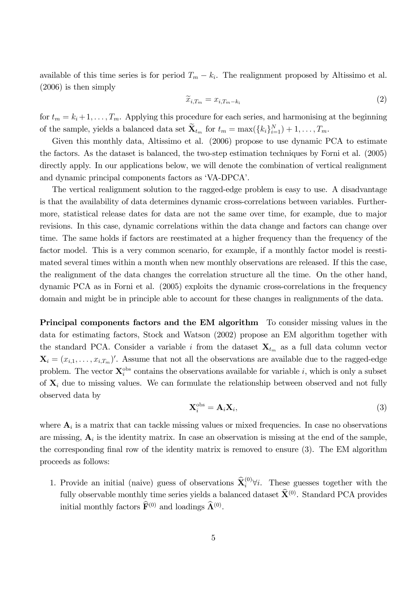available of this time series is for period  $T_m - k_i$ . The realignment proposed by Altissimo et al. (2006) is then simply

$$
\widetilde{x}_{i,T_m} = x_{i,T_m-k_i} \tag{2}
$$

for  $t_m = k_i + 1, \ldots, T_m$ . Applying this procedure for each series, and harmonising at the beginning of the sample, yields a balanced data set  $\mathbf{X}_{t_m}$  for  $t_m = \max(\{k_i\}_{i=1}^N) + 1, \ldots, T_m$ .

Given this monthly data, Altissimo et al. (2006) propose to use dynamic PCA to estimate the factors. As the dataset is balanced, the two-step estimation techniques by Forni et al. (2005) directly apply. In our applications below, we will denote the combination of vertical realignment and dynamic principal components factors as 'VA-DPCA'.

The vertical realignment solution to the ragged-edge problem is easy to use. A disadvantage is that the availability of data determines dynamic cross-correlations between variables. Furthermore, statistical release dates for data are not the same over time, for example, due to major revisions. In this case, dynamic correlations within the data change and factors can change over time. The same holds if factors are reestimated at a higher frequency than the frequency of the factor model. This is a very common scenario, for example, if a monthly factor model is reestimated several times within a month when new monthly observations are released. If this the case, the realignment of the data changes the correlation structure all the time. On the other hand, dynamic PCA as in Forni et al. (2005) exploits the dynamic cross-correlations in the frequency domain and might be in principle able to account for these changes in realignments of the data.

Principal components factors and the EM algorithm To consider missing values in the data for estimating factors, Stock and Watson (2002) propose an EM algorithm together with the standard PCA. Consider a variable i from the dataset  $X_{t_m}$  as a full data column vector  $\mathbf{X}_i = (x_{i,1}, \ldots, x_{i,T_m})'$ . Assume that not all the observations are available due to the ragged-edge problem. The vector  $\mathbf{X}^{\text{obs}}_i$  contains the observations available for variable i, which is only a subset of  $X_i$  due to missing values. We can formulate the relationship between observed and not fully observed data by

$$
\mathbf{X}_{i}^{\text{obs}} = \mathbf{A}_{i} \mathbf{X}_{i},\tag{3}
$$

where  $A_i$  is a matrix that can tackle missing values or mixed frequencies. In case no observations are missing,  $A_i$  is the identity matrix. In case an observation is missing at the end of the sample, the corresponding final row of the identity matrix is removed to ensure  $(3)$ . The EM algorithm proceeds as follows:

1. Provide an initial (naive) guess of observations  $\hat{\mathbf{X}}_i^{(0)} \forall i$ . These guesses together with the fully observable monthly time series yields a balanced dataset  $\hat{\mathbf{X}}^{(0)}$ . Standard PCA provides initial monthly factors  $\mathbf{F}^{(0)}$  and loadings  $\mathbf{\hat{\Lambda}}^{(0)}$ .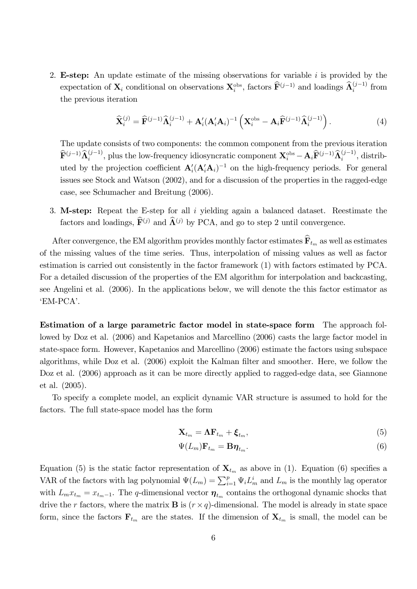2. **E-step:** An update estimate of the missing observations for variable  $i$  is provided by the expectation of  $\mathbf{X}_i$  conditional on observations  $\mathbf{X}_i^{\text{obs}}$ , factors  $\widehat{\mathbf{F}}^{(j-1)}$  and loadings  $\widehat{\mathbf{A}}_i^{(j-1)}$  from the previous iteration

$$
\widehat{\mathbf{X}}_i^{(j)} = \widehat{\mathbf{F}}^{(j-1)} \widehat{\boldsymbol{\Lambda}}_i^{(j-1)} + \mathbf{A}_i' (\mathbf{A}_i' \mathbf{A}_i)^{-1} \left( \mathbf{X}_i^{\text{obs}} - \mathbf{A}_i \widehat{\mathbf{F}}^{(j-1)} \widehat{\boldsymbol{\Lambda}}_i^{(j-1)} \right).
$$
(4)

The update consists of two components: the common component from the previous iteration  $\widehat{\mathbf{F}}^{(j-1)}\widehat{\mathbf{\Lambda}}_i^{(j-1)}$ , plus the low-frequency idiosyncratic component  $\mathbf{X}_i^{\text{obs}} - \mathbf{A}_i\widehat{\mathbf{F}}^{(j-1)}\widehat{\mathbf{\Lambda}}_i^{(j-1)}$ , distributed by the projection coefficient  $\mathbf{A}'_i(\mathbf{A}'_i\mathbf{A}_i)^{-1}$  on the high-frequency periods. For general issues see Stock and Watson (2002), and for a discussion of the properties in the ragged-edge case, see Schumacher and Breitung (2006).

3. M-step: Repeat the E-step for all i yielding again a balanced dataset. Reestimate the factors and loadings,  $\hat{\mathbf{F}}^{(j)}$  and  $\hat{\mathbf{\Lambda}}^{(j)}$  by PCA, and go to step 2 until convergence.

After convergence, the EM algorithm provides monthly factor estimates  $\widehat{\mathbf{F}}_{t_m}$  as well as estimates of the missing values of the time series. Thus, interpolation of missing values as well as factor estimation is carried out consistently in the factor framework (1) with factors estimated by PCA. For a detailed discussion of the properties of the EM algorithm for interpolation and backcasting, see Angelini et al. (2006). In the applications below, we will denote the this factor estimator as ëEM-PCAí.

Estimation of a large parametric factor model in state-space form The approach followed by Doz et al. (2006) and Kapetanios and Marcellino (2006) casts the large factor model in state-space form. However, Kapetanios and Marcellino (2006) estimate the factors using subspace algorithms, while Doz et al. (2006) exploit the Kalman filter and smoother. Here, we follow the Doz et al. (2006) approach as it can be more directly applied to ragged-edge data, see Giannone et al. (2005).

To specify a complete model, an explicit dynamic VAR structure is assumed to hold for the factors. The full state-space model has the form

$$
\mathbf{X}_{t_m} = \mathbf{\Lambda} \mathbf{F}_{t_m} + \boldsymbol{\xi}_{t_m},\tag{5}
$$

$$
\Psi(L_m)\mathbf{F}_{t_m} = \mathbf{B}\boldsymbol{\eta}_{t_m}.\tag{6}
$$

Equation (5) is the static factor representation of  $\mathbf{X}_{t_m}$  as above in (1). Equation (6) specifies a VAR of the factors with lag polynomial  $\Psi(L_m) = \sum_{i=1}^p \Psi_i L_m^i$  and  $L_m$  is the monthly lag operator with  $L_m x_{t_m} = x_{t_m-1}$ . The q-dimensional vector  $\eta_{t_m}$  contains the orthogonal dynamic shocks that drive the r factors, where the matrix **B** is  $(r \times q)$ -dimensional. The model is already in state space form, since the factors  $\mathbf{F}_{t_m}$  are the states. If the dimension of  $\mathbf{X}_{t_m}$  is small, the model can be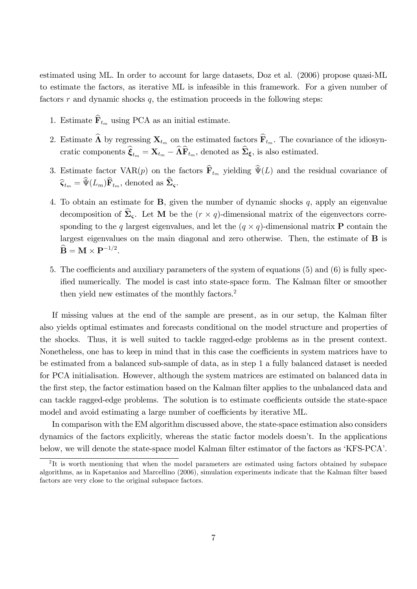estimated using ML. In order to account for large datasets, Doz et al. (2006) propose quasi-ML to estimate the factors, as iterative ML is infeasible in this framework. For a given number of factors  $r$  and dynamic shocks  $q$ , the estimation proceeds in the following steps:

- 1. Estimate  $\mathbf{F}_{t_m}$  using PCA as an initial estimate.
- 2. Estimate  $\widehat{\mathbf{\Lambda}}$  by regressing  $\mathbf{X}_{t_m}$  on the estimated factors  $\widehat{\mathbf{F}}_{t_m}$ . The covariance of the idiosyncratic components  $\hat{\xi}_{t_m} = \mathbf{X}_{t_m} - \widehat{\mathbf{\Lambda}} \widehat{\mathbf{F}}_{t_m}$ , denoted as  $\widehat{\Sigma}_{\xi}$ , is also estimated.
- 3. Estimate factor VAR $(p)$  on the factors  $\widehat{\mathbf{F}}_{t_m}$  yielding  $\widehat{\Psi}(L)$  and the residual covariance of  $\widehat{\mathsf{G}}_{t_m} = \widehat{\Psi}(L_m)\widehat{\mathbf{F}}_{t_m}$ , denoted as  $\widehat{\boldsymbol{\Sigma}}_{\boldsymbol{\varsigma}}$ .
- 4. To obtain an estimate for  $B$ , given the number of dynamic shocks  $q$ , apply an eigenvalue decomposition of  $\Sigma_{\varsigma}$ . Let **M** be the  $(r \times q)$ -dimensional matrix of the eigenvectors corresponding to the q largest eigenvalues, and let the  $(q \times q)$ -dimensional matrix **P** contain the largest eigenvalues on the main diagonal and zero otherwise. Then, the estimate of B is  $\widehat{\mathbf{B}} = \mathbf{M} \times \mathbf{P}^{-1/2}.$
- 5. The coefficients and auxiliary parameters of the system of equations  $(5)$  and  $(6)$  is fully specified numerically. The model is cast into state-space form. The Kalman filter or smoother then yield new estimates of the monthly factors.<sup>2</sup>

If missing values at the end of the sample are present, as in our setup, the Kalman filter also yields optimal estimates and forecasts conditional on the model structure and properties of the shocks. Thus, it is well suited to tackle ragged-edge problems as in the present context. Nonetheless, one has to keep in mind that in this case the coefficients in system matrices have to be estimated from a balanced sub-sample of data, as in step 1 a fully balanced dataset is needed for PCA initialisation. However, although the system matrices are estimated on balanced data in the first step, the factor estimation based on the Kalman filter applies to the unbalanced data and can tackle ragged-edge problems. The solution is to estimate coefficients outside the state-space model and avoid estimating a large number of coefficients by iterative ML.

In comparison with the EM algorithm discussed above, the state-space estimation also considers dynamics of the factors explicitly, whereas the static factor models doesnít. In the applications below, we will denote the state-space model Kalman filter estimator of the factors as 'KFS-PCA'.

<sup>&</sup>lt;sup>2</sup>It is worth mentioning that when the model parameters are estimated using factors obtained by subspace algorithms, as in Kapetanios and Marcellino (2006), simulation experiments indicate that the Kalman filter based factors are very close to the original subspace factors.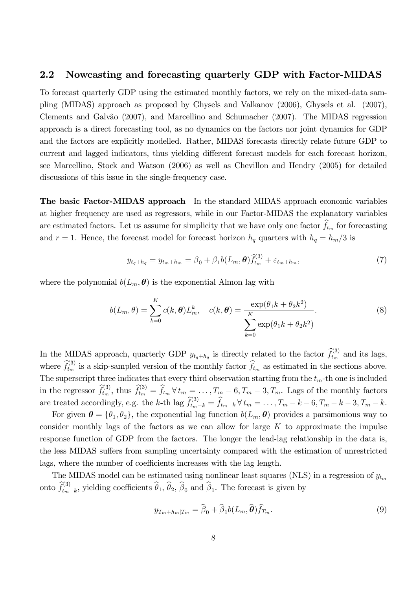#### 2.2 Nowcasting and forecasting quarterly GDP with Factor-MIDAS

To forecast quarterly GDP using the estimated monthly factors, we rely on the mixed-data sampling (MIDAS) approach as proposed by Ghysels and Valkanov (2006), Ghysels et al. (2007), Clements and Galvão (2007), and Marcellino and Schumacher (2007). The MIDAS regression approach is a direct forecasting tool, as no dynamics on the factors nor joint dynamics for GDP and the factors are explicitly modelled. Rather, MIDAS forecasts directly relate future GDP to current and lagged indicators, thus yielding different forecast models for each forecast horizon. see Marcellino, Stock and Watson (2006) as well as Chevillon and Hendry (2005) for detailed discussions of this issue in the single-frequency case.

The basic Factor-MIDAS approach In the standard MIDAS approach economic variables at higher frequency are used as regressors, while in our Factor-MIDAS the explanatory variables are estimated factors. Let us assume for simplicity that we have only one factor  $\widehat{f}_{t_m}$  for forecasting and  $r = 1$ . Hence, the forecast model for forecast horizon  $h_q$  quarters with  $h_q = h_m/3$  is

$$
y_{t_q + h_q} = y_{t_m + h_m} = \beta_0 + \beta_1 b(L_m, \theta) \hat{f}_{t_m}^{(3)} + \varepsilon_{t_m + h_m},
$$
\n(7)

where the polynomial  $b(L_m, \theta)$  is the exponential Almon lag with

$$
b(L_m, \theta) = \sum_{k=0}^{K} c(k, \theta) L_m^k, \quad c(k, \theta) = \frac{\exp(\theta_1 k + \theta_2 k^2)}{\sum_{k=0}^{K} \exp(\theta_1 k + \theta_2 k^2)}.
$$
 (8)

In the MIDAS approach, quarterly GDP  $y_{t_q+h_q}$  is directly related to the factor  $\hat{f}_{t_m}^{(3)}$  and its lags, where  $\widehat{f}_{t_m}^{(3)}$  is a skip-sampled version of the monthly factor  $\widehat{f}_{t_m}$  as estimated in the sections above. The superscript three indicates that every third observation starting from the  $t_m$ -th one is included in the regressor  $\hat{f}_{t_m}^{(3)}$ , thus  $\hat{f}_{t_m}^{(3)} = \hat{f}_{t_m} \forall t_m = \ldots, T_m - 6, T_m - 3, T_m$ . Lags of the monthly factors are treated accordingly, e.g. the k-th lag  $\widehat{f}_{t_m-k}^{(3)} = \widehat{f}_{t_m-k} \forall t_m = \ldots, T_m - k - 6, T_m - k - 3, T_m - k$ .

For given  $\boldsymbol{\theta} = {\theta_1, \theta_2}$ , the exponential lag function  $b(L_m, \boldsymbol{\theta})$  provides a parsimonious way to consider monthly lags of the factors as we can allow for large  $K$  to approximate the impulse response function of GDP from the factors. The longer the lead-lag relationship in the data is, the less MIDAS suffers from sampling uncertainty compared with the estimation of unrestricted lags, where the number of coefficients increases with the lag length.

The MIDAS model can be estimated using nonlinear least squares (NLS) in a regression of  $y_{t_m}$ onto  $\widehat{f}_{t_m-k}^{(3)}$ , yielding coefficients  $\widehat{\theta}_1$ ,  $\widehat{\theta}_2$ ,  $\widehat{\beta}_0$  and  $\widehat{\beta}_1$ . The forecast is given by

$$
y_{T_m + h_m|T_m} = \widehat{\beta}_0 + \widehat{\beta}_1 b(L_m, \widehat{\boldsymbol{\theta}}) \widehat{f}_{T_m}.
$$
\n(9)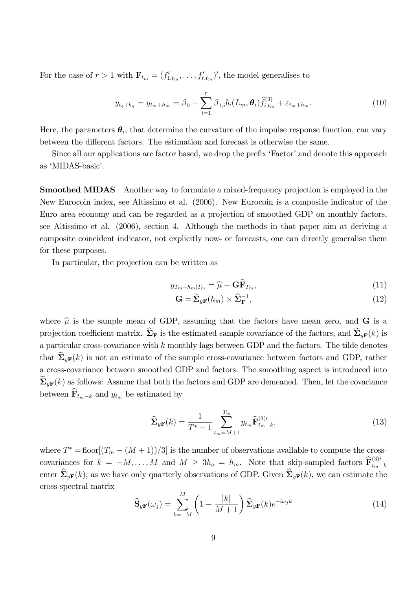For the case of  $r > 1$  with  $\mathbf{F}_{t_m} = (f'_{1,t_m}, \ldots, f'_{r,t_m})'$ , the model generalises to

$$
y_{t_q+h_q} = y_{t_m+h_m} = \beta_0 + \sum_{i=1}^r \beta_{1,i} b_i(L_m, \theta_i) \widehat{f}_{i,t_m}^{(3)} + \varepsilon_{t_m+h_m}.
$$
 (10)

Here, the parameters  $\theta_i$ , that determine the curvature of the impulse response function, can vary between the different factors. The estimation and forecast is otherwise the same.

Since all our applications are factor based, we drop the prefix 'Factor' and denote this approach as 'MIDAS-basic'.

Smoothed MIDAS Another way to formulate a mixed-frequency projection is employed in the New Eurocoin index, see Altissimo et al. (2006). New Eurocoin is a composite indicator of the Euro area economy and can be regarded as a projection of smoothed GDP on monthly factors, see Altissimo et al. (2006), section 4. Although the methods in that paper aim at deriving a composite coincident indicator, not explicitly now- or forecasts, one can directly generalise them for these purposes.

In particular, the projection can be written as

$$
y_{T_m + h_m|T_m} = \widehat{\mu} + \mathbf{G} \widehat{\mathbf{F}}_{T_m},\tag{11}
$$

$$
\mathbf{G} = \widetilde{\Sigma}_{y\mathbf{F}}(h_m) \times \widehat{\Sigma}_{\mathbf{F}}^{-1},\tag{12}
$$

where  $\hat{\mu}$  is the sample mean of GDP, assuming that the factors have mean zero, and **G** is a projection coefficient matrix.  $\Sigma_F$  is the estimated sample covariance of the factors, and  $\Sigma_{vF}(k)$  is a particular cross-covariance with  $k$  monthly lags between GDP and the factors. The tilde denotes that  $\Sigma_{v\mathbf{F}}(k)$  is not an estimate of the sample cross-covariance between factors and GDP, rather a cross-covariance between smoothed GDP and factors. The smoothing aspect is introduced into  $\sum_{u\in\mathbf{F}}(k)$  as follows: Assume that both the factors and GDP are demeaned. Then, let the covariance between  $\widehat{\mathbf{F}}_{t_m-k}$  and  $y_{t_m}$  be estimated by

$$
\widehat{\mathbf{\Sigma}}_{y\mathbf{F}}(k) = \frac{1}{T^* - 1} \sum_{t_m = M + 1}^{T_m} y_{t_m} \widehat{\mathbf{F}}_{t_m - k}^{(3)\prime},
$$
\n(13)

where  $T^* = \text{floor}[(T_m - (M + 1))/3]$  is the number of observations available to compute the crosscovariances for  $k = -M, \ldots, M$  and  $M \geq 3h_q = h_m$ . Note that skip-sampled factors  $\widehat{\mathbf{F}}_{t_m-k}^{(3)}$ enter  $\widehat{\mathbf{\Sigma}}_{y\mathbf{F}}(k)$ , as we have only quarterly observations of GDP. Given  $\widehat{\mathbf{\Sigma}}_{y\mathbf{F}}(k)$ , we can estimate the cross-spectral matrix

$$
\widehat{\mathbf{S}}_{y\mathbf{F}}(\omega_j) = \sum_{k=-M}^{M} \left(1 - \frac{|k|}{M+1}\right) \widehat{\mathbf{\Sigma}}_{y\mathbf{F}}(k) e^{-i\omega_j k} \tag{14}
$$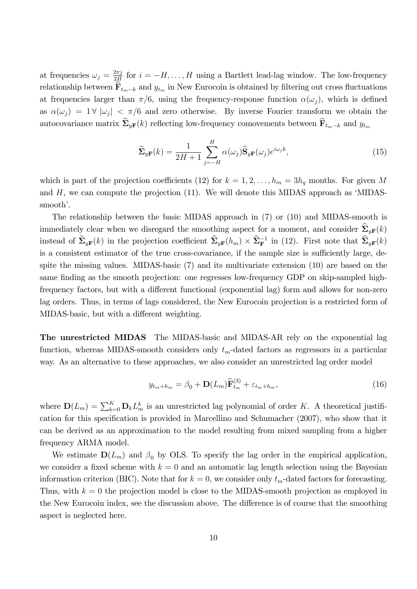at frequencies  $\omega_j = \frac{2\pi j}{2H}$  $\frac{2\pi j}{2H}$  for  $i = -H, \ldots, H$  using a Bartlett lead-lag window. The low-frequency relationship between  $\mathbf{F}_{t_m-k}$  and  $y_{t_m}$  in New Eurocoin is obtained by filtering out cross fluctuations at frequencies larger than  $\pi/6$ , using the frequency-response function  $\alpha(\omega_i)$ , which is defined as  $\alpha(\omega_j) = 1 \forall |\omega_j| < \pi/6$  and zero otherwise. By inverse Fourier transform we obtain the autocovariance matrix  $\widetilde{\Sigma}_{yF}(k)$  reflecting low-frequency comovements between  $\widehat{\mathbf{F}}_{t_m-k}$  and  $y_{t_m}$ 

$$
\widetilde{\Sigma}_{yF}(k) = \frac{1}{2H+1} \sum_{j=-H}^{H} \alpha(\omega_j) \widehat{\mathbf{S}}_{yF}(\omega_j) e^{i\omega_j k}, \qquad (15)
$$

which is part of the projection coefficients (12) for  $k = 1, 2, \ldots, h_m = 3h_q$  months. For given M and  $H$ , we can compute the projection (11). We will denote this MIDAS approach as 'MIDASsmooth'.

The relationship between the basic MIDAS approach in (7) or (10) and MIDAS-smooth is immediately clear when we disregard the smoothing aspect for a moment, and consider  $\sum_{y}$ F(k) instead of  $\tilde{\Sigma}_{yF}(k)$  in the projection coefficient  $\widehat{\Sigma}_{yF}(h_m) \times \widehat{\Sigma}_F^{-1}$  in (12). First note that  $\widehat{\Sigma}_{yF}(k)$ is a consistent estimator of the true cross-covariance, if the sample size is sufficiently large, despite the missing values. MIDAS-basic (7) and its multivariate extension (10) are based on the same finding as the smooth projection: one regresses low-frequency GDP on skip-sampled highfrequency factors, but with a different functional (exponential lag) form and allows for non-zero lag orders. Thus, in terms of lags considered, the New Eurocoin projection is a restricted form of MIDAS-basic, but with a different weighting.

The unrestricted MIDAS The MIDAS-basic and MIDAS-AR rely on the exponential lag function, whereas MIDAS-smooth considers only  $t_m$ -dated factors as regressors in a particular way. As an alternative to these approaches, we also consider an unrestricted lag order model

$$
y_{t_m+h_m} = \beta_0 + \mathbf{D}(L_m)\widehat{\mathbf{F}}_{t_m}^{(3)} + \varepsilon_{t_m+h_m},\tag{16}
$$

where  $\mathbf{D}(L_m) = \sum_{k=0}^{K} \mathbf{D}_k L_m^k$  is an unrestricted lag polynomial of order K. A theoretical justification for this specification is provided in Marcellino and Schumacher (2007), who show that it can be derived as an approximation to the model resulting from mixed sampling from a higher frequency ARMA model.

We estimate  $\mathbf{D}(L_m)$  and  $\beta_0$  by OLS. To specify the lag order in the empirical application, we consider a fixed scheme with  $k = 0$  and an automatic lag length selection using the Bayesian information criterion (BIC). Note that for  $k = 0$ , we consider only  $t_m$ -dated factors for forecasting. Thus, with  $k = 0$  the projection model is close to the MIDAS-smooth projection as employed in the New Eurocoin index, see the discussion above. The difference is of course that the smoothing aspect is neglected here.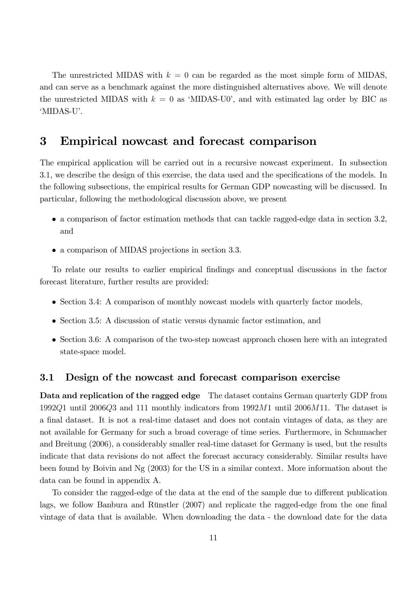The unrestricted MIDAS with  $k = 0$  can be regarded as the most simple form of MIDAS, and can serve as a benchmark against the more distinguished alternatives above. We will denote the unrestricted MIDAS with  $k = 0$  as 'MIDAS-U0', and with estimated lag order by BIC as ëMIDAS-Uí.

### 3 Empirical nowcast and forecast comparison

The empirical application will be carried out in a recursive nowcast experiment. In subsection 3.1, we describe the design of this exercise, the data used and the specifications of the models. In the following subsections, the empirical results for German GDP nowcasting will be discussed. In particular, following the methodological discussion above, we present

- a comparison of factor estimation methods that can tackle ragged-edge data in section 3.2, and
- a comparison of MIDAS projections in section 3.3.

To relate our results to earlier empirical Öndings and conceptual discussions in the factor forecast literature, further results are provided:

- Section 3.4: A comparison of monthly nowcast models with quarterly factor models,
- Section 3.5: A discussion of static versus dynamic factor estimation, and
- Section 3.6: A comparison of the two-step nowcast approach chosen here with an integrated state-space model.

#### 3.1 Design of the nowcast and forecast comparison exercise

Data and replication of the ragged edge The dataset contains German quarterly GDP from 1992Q1 until 2006Q3 and 111 monthly indicators from 1992M1 until 2006M11. The dataset is a final dataset. It is not a real-time dataset and does not contain vintages of data, as they are not available for Germany for such a broad coverage of time series. Furthermore, in Schumacher and Breitung (2006), a considerably smaller real-time dataset for Germany is used, but the results indicate that data revisions do not affect the forecast accuracy considerably. Similar results have been found by Boivin and Ng (2003) for the US in a similar context. More information about the data can be found in appendix A.

To consider the ragged-edge of the data at the end of the sample due to different publication lags, we follow Banbura and Rünstler (2007) and replicate the ragged-edge from the one final vintage of data that is available. When downloading the data - the download date for the data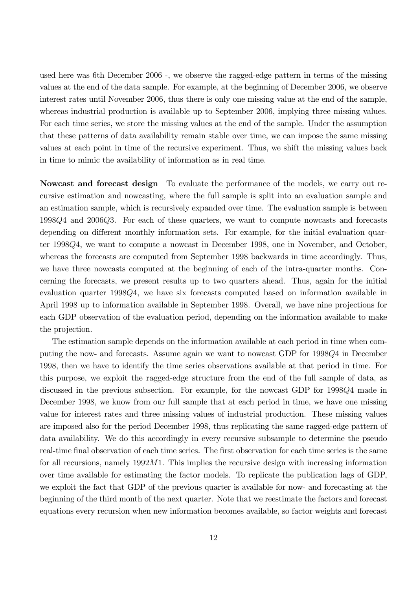used here was 6th December 2006 -, we observe the ragged-edge pattern in terms of the missing values at the end of the data sample. For example, at the beginning of December 2006, we observe interest rates until November 2006, thus there is only one missing value at the end of the sample, whereas industrial production is available up to September 2006, implying three missing values. For each time series, we store the missing values at the end of the sample. Under the assumption that these patterns of data availability remain stable over time, we can impose the same missing values at each point in time of the recursive experiment. Thus, we shift the missing values back in time to mimic the availability of information as in real time.

Nowcast and forecast design To evaluate the performance of the models, we carry out recursive estimation and nowcasting, where the full sample is split into an evaluation sample and an estimation sample, which is recursively expanded over time. The evaluation sample is between 1998Q4 and 2006Q3. For each of these quarters, we want to compute nowcasts and forecasts depending on different monthly information sets. For example, for the initial evaluation quarter 1998Q4, we want to compute a nowcast in December 1998, one in November, and October, whereas the forecasts are computed from September 1998 backwards in time accordingly. Thus, we have three nowcasts computed at the beginning of each of the intra-quarter months. Concerning the forecasts, we present results up to two quarters ahead. Thus, again for the initial evaluation quarter 1998Q4, we have six forecasts computed based on information available in April 1998 up to information available in September 1998. Overall, we have nine projections for each GDP observation of the evaluation period, depending on the information available to make the projection.

The estimation sample depends on the information available at each period in time when computing the now- and forecasts. Assume again we want to nowcast GDP for 1998Q4 in December 1998, then we have to identify the time series observations available at that period in time. For this purpose, we exploit the ragged-edge structure from the end of the full sample of data, as discussed in the previous subsection. For example, for the nowcast GDP for 1998Q4 made in December 1998, we know from our full sample that at each period in time, we have one missing value for interest rates and three missing values of industrial production. These missing values are imposed also for the period December 1998, thus replicating the same ragged-edge pattern of data availability. We do this accordingly in every recursive subsample to determine the pseudo real-time final observation of each time series. The first observation for each time series is the same for all recursions, namely  $1992M1$ . This implies the recursive design with increasing information over time available for estimating the factor models. To replicate the publication lags of GDP, we exploit the fact that GDP of the previous quarter is available for now- and forecasting at the beginning of the third month of the next quarter. Note that we reestimate the factors and forecast equations every recursion when new information becomes available, so factor weights and forecast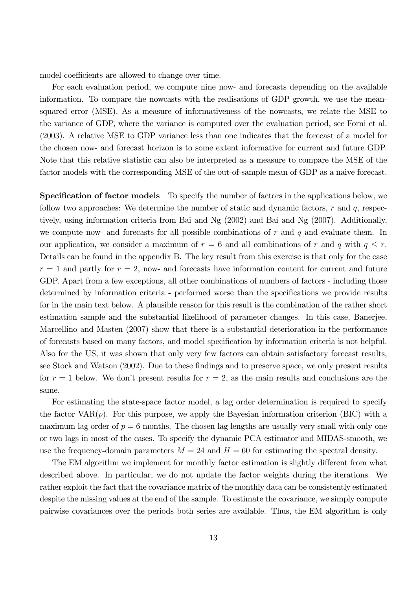model coefficients are allowed to change over time.

For each evaluation period, we compute nine now- and forecasts depending on the available information. To compare the nowcasts with the realisations of GDP growth, we use the meansquared error (MSE). As a measure of informativeness of the nowcasts, we relate the MSE to the variance of GDP, where the variance is computed over the evaluation period, see Forni et al. (2003). A relative MSE to GDP variance less than one indicates that the forecast of a model for the chosen now- and forecast horizon is to some extent informative for current and future GDP. Note that this relative statistic can also be interpreted as a measure to compare the MSE of the factor models with the corresponding MSE of the out-of-sample mean of GDP as a naive forecast.

**Specification of factor models** To specify the number of factors in the applications below, we follow two approaches: We determine the number of static and dynamic factors,  $r$  and  $q$ , respectively, using information criteria from Bai and Ng (2002) and Bai and Ng (2007). Additionally, we compute now- and forecasts for all possible combinations of  $r$  and  $q$  and evaluate them. In our application, we consider a maximum of  $r = 6$  and all combinations of r and q with  $q \leq r$ . Details can be found in the appendix B. The key result from this exercise is that only for the case  $r = 1$  and partly for  $r = 2$ , now- and forecasts have information content for current and future GDP. Apart from a few exceptions, all other combinations of numbers of factors - including those determined by information criteria - performed worse than the specifications we provide results for in the main text below. A plausible reason for this result is the combination of the rather short estimation sample and the substantial likelihood of parameter changes. In this case, Banerjee, Marcellino and Masten (2007) show that there is a substantial deterioration in the performance of forecasts based on many factors, and model speciÖcation by information criteria is not helpful. Also for the US, it was shown that only very few factors can obtain satisfactory forecast results, see Stock and Watson (2002). Due to these findings and to preserve space, we only present results for  $r = 1$  below. We don't present results for  $r = 2$ , as the main results and conclusions are the same.

For estimating the state-space factor model, a lag order determination is required to specify the factor  $VAR(p)$ . For this purpose, we apply the Bayesian information criterion (BIC) with a maximum lag order of  $p = 6$  months. The chosen lag lengths are usually very small with only one or two lags in most of the cases. To specify the dynamic PCA estimator and MIDAS-smooth, we use the frequency-domain parameters  $M = 24$  and  $H = 60$  for estimating the spectral density.

The EM algorithm we implement for monthly factor estimation is slightly different from what described above. In particular, we do not update the factor weights during the iterations. We rather exploit the fact that the covariance matrix of the monthly data can be consistently estimated despite the missing values at the end of the sample. To estimate the covariance, we simply compute pairwise covariances over the periods both series are available. Thus, the EM algorithm is only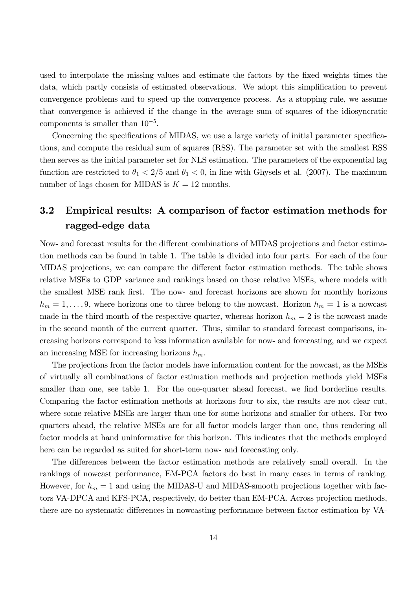used to interpolate the missing values and estimate the factors by the Öxed weights times the data, which partly consists of estimated observations. We adopt this simplification to prevent convergence problems and to speed up the convergence process. As a stopping rule, we assume that convergence is achieved if the change in the average sum of squares of the idiosyncratic components is smaller than  $10^{-5}$ .

Concerning the specifications of MIDAS, we use a large variety of initial parameter specifications, and compute the residual sum of squares (RSS). The parameter set with the smallest RSS then serves as the initial parameter set for NLS estimation. The parameters of the exponential lag function are restricted to  $\theta_1 < 2/5$  and  $\theta_1 < 0$ , in line with Ghysels et al. (2007). The maximum number of lags chosen for MIDAS is  $K = 12$  months.

### 3.2 Empirical results: A comparison of factor estimation methods for ragged-edge data

Now- and forecast results for the different combinations of MIDAS projections and factor estimation methods can be found in table 1. The table is divided into four parts. For each of the four MIDAS projections, we can compare the different factor estimation methods. The table shows relative MSEs to GDP variance and rankings based on those relative MSEs, where models with the smallest MSE rank first. The now- and forecast horizons are shown for monthly horizons  $h_m = 1, \ldots, 9$ , where horizons one to three belong to the nowcast. Horizon  $h_m = 1$  is a nowcast made in the third month of the respective quarter, whereas horizon  $h_m = 2$  is the nowcast made in the second month of the current quarter. Thus, similar to standard forecast comparisons, increasing horizons correspond to less information available for now- and forecasting, and we expect an increasing MSE for increasing horizons  $h_m$ .

The projections from the factor models have information content for the nowcast, as the MSEs of virtually all combinations of factor estimation methods and projection methods yield MSEs smaller than one, see table 1. For the one-quarter ahead forecast, we find borderline results. Comparing the factor estimation methods at horizons four to six, the results are not clear cut, where some relative MSEs are larger than one for some horizons and smaller for others. For two quarters ahead, the relative MSEs are for all factor models larger than one, thus rendering all factor models at hand uninformative for this horizon. This indicates that the methods employed here can be regarded as suited for short-term now- and forecasting only.

The differences between the factor estimation methods are relatively small overall. In the rankings of nowcast performance, EM-PCA factors do best in many cases in terms of ranking. However, for  $h_m = 1$  and using the MIDAS-U and MIDAS-smooth projections together with factors VA-DPCA and KFS-PCA, respectively, do better than EM-PCA. Across projection methods, there are no systematic differences in nowcasting performance between factor estimation by VA-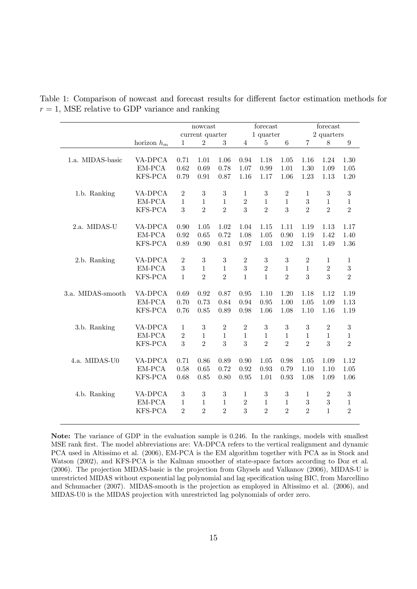|                   |               |                  | nowcast          |                  |                | forecast       |                |                | forecast       |                  |
|-------------------|---------------|------------------|------------------|------------------|----------------|----------------|----------------|----------------|----------------|------------------|
|                   |               |                  | current quarter  |                  |                | $1$ quarter    |                |                | 2 quarters     |                  |
|                   | horizon $h_m$ | 1                | $\overline{2}$   | $\sqrt{3}$       | $\overline{4}$ | $\overline{5}$ | $\,6$          | $\overline{7}$ | 8              | $\boldsymbol{9}$ |
| 1.a. MIDAS-basic  | VA-DPCA       | 0.71             | 1.01             | 1.06             | 0.94           | 1.18           | 1.05           | 1.16           | 1.24           | 1.30             |
|                   | $EM-PCA$      | 0.62             | 0.69             | 0.78             | 1.07           | 0.99           | 1.01           | $1.30\,$       | 1.09           | $1.05\,$         |
|                   | KFS-PCA       | 0.79             | 0.91             | 0.87             | 1.16           | 1.17           | 1.06           | 1.23           | 1.13           | 1.20             |
| 1.b. Ranking      | VA-DPCA       | $\overline{2}$   | 3                | 3                | 1              | 3              | $\overline{2}$ | 1              | 3              | $\sqrt{3}$       |
|                   | $EM-PCA$      | $\mathbf{1}$     | $\mathbf{1}$     | $\mathbf{1}$     | $\overline{2}$ | $\mathbf{1}$   | $\mathbf{1}$   | 3              | $\mathbf{1}$   | $\mathbf{1}$     |
|                   | KFS-PCA       | 3                | $\overline{2}$   | $\overline{2}$   | 3              | $\overline{2}$ | 3              | $\overline{2}$ | $\overline{2}$ | $\overline{2}$   |
| 2.a. MIDAS-U      | VA-DPCA       | 0.90             | 1.05             | 1.02             | 1.04           | 1.15           | 1.11           | 1.19           | 1.13           | 1.17             |
|                   | EM-PCA        | 0.92             | 0.65             | 0.72             | 1.08           | 1.05           | 0.90           | 1.19           | 1.42           | 1.40             |
|                   | KFS-PCA       | 0.89             | 0.90             | 0.81             | 0.97           | 1.03           | 1.02           | 1.31           | 1.49           | 1.36             |
| 2.b. Ranking      | VA-DPCA       | $\overline{2}$   | 3                | 3                | $\overline{2}$ | 3              | 3              | $\overline{2}$ | $\mathbf{1}$   | $\mathbf{1}$     |
|                   | EM-PCA        | 3                | $\mathbf{1}$     | $\mathbf{1}$     | 3              | $\overline{2}$ | $\mathbf{1}$   | $\mathbf{1}$   | $\overline{2}$ | 3                |
|                   | KFS-PCA       | $\mathbf{1}$     | $\overline{2}$   | $\overline{2}$   | $\mathbf{1}$   | $\mathbf{1}$   | $\overline{2}$ | 3              | 3              | $\overline{2}$   |
| 3.a. MIDAS-smooth | VA-DPCA       | 0.69             | 0.92             | 0.87             | 0.95           | 1.10           | 1.20           | 1.18           | 1.12           | 1.19             |
|                   | EM-PCA        | 0.70             | 0.73             | 0.84             | 0.94           | 0.95           | 1.00           | 1.05           | 1.09           | 1.13             |
|                   | KFS-PCA       | 0.76             | 0.85             | 0.89             | 0.98           | 1.06           | $1.08\,$       | 1.10           | 1.16           | 1.19             |
| 3.b. Ranking      | VA-DPCA       | $\mathbf{1}$     | 3                | $\boldsymbol{2}$ | $\overline{2}$ | 3              | 3              | 3              | $\overline{2}$ | 3                |
|                   | EM-PCA        | $\overline{2}$   | $\mathbf{1}$     | $\mathbf{1}$     | $\mathbf{1}$   | $\mathbf{1}$   | $\mathbf{1}$   | $\mathbf{1}$   | $\mathbf{1}$   | $\mathbf{1}$     |
|                   | KFS-PCA       | 3                | $\overline{2}$   | 3                | 3              | $\overline{2}$ | $\overline{2}$ | $\overline{2}$ | 3              | $\overline{2}$   |
| 4.a. MIDAS-U0     | VA-DPCA       | 0.71             | 0.86             | 0.89             | 0.90           | 1.05           | 0.98           | 1.05           | 1.09           | 1.12             |
|                   | EM-PCA        | 0.58             | 0.65             | 0.72             | 0.92           | 0.93           | 0.79           | 1.10           | 1.10           | 1.05             |
|                   | KFS-PCA       | 0.68             | 0.85             | 0.80             | 0.95           | 1.01           | 0.93           | 1.08           | 1.09           | 1.06             |
| 4.b. Ranking      | VA-DPCA       | $\boldsymbol{3}$ | $\boldsymbol{3}$ | $\sqrt{3}$       | 1              | 3              | $\sqrt{3}$     | 1              | $\overline{2}$ | $\sqrt{3}$       |
|                   | EM-PCA        | $\mathbf{1}$     | 1                | $\mathbf{1}$     | $\overline{2}$ | 1              | $\mathbf{1}$   | $\sqrt{3}$     | $\sqrt{3}$     | $\mathbf{1}$     |
|                   | KFS-PCA       | $\overline{2}$   | $\overline{2}$   | $\overline{2}$   | 3              | $\overline{2}$ | $\overline{2}$ | $\overline{2}$ | $\mathbf{1}$   | $\overline{2}$   |

Table 1: Comparison of nowcast and forecast results for different factor estimation methods for  $r = 1$ , MSE relative to GDP variance and ranking

Note: The variance of GDP in the evaluation sample is 0.246. In the rankings, models with smallest MSE rank first. The model abbreviations are: VA-DPCA refers to the vertical realignment and dynamic PCA used in Altissimo et al. (2006), EM-PCA is the EM algorithm together with PCA as in Stock and Watson (2002), and KFS-PCA is the Kalman smoother of state-space factors according to Doz et al. (2006). The projection MIDAS-basic is the projection from Ghysels and Valkanov (2006), MIDAS-U is unrestricted MIDAS without exponential lag polynomial and lag specification using BIC, from Marcellino and Schumacher (2007). MIDAS-smooth is the projection as employed in Altissimo et al. (2006), and MIDAS-U0 is the MIDAS projection with unrestricted lag polynomials of order zero.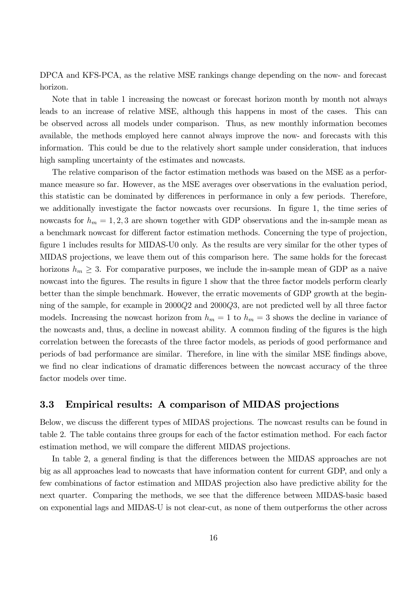DPCA and KFS-PCA, as the relative MSE rankings change depending on the now- and forecast horizon.

Note that in table 1 increasing the nowcast or forecast horizon month by month not always leads to an increase of relative MSE, although this happens in most of the cases. This can be observed across all models under comparison. Thus, as new monthly information becomes available, the methods employed here cannot always improve the now- and forecasts with this information. This could be due to the relatively short sample under consideration, that induces high sampling uncertainty of the estimates and nowcasts.

The relative comparison of the factor estimation methods was based on the MSE as a performance measure so far. However, as the MSE averages over observations in the evaluation period, this statistic can be dominated by differences in performance in only a few periods. Therefore, we additionally investigate the factor nowcasts over recursions. In figure 1, the time series of nowcasts for  $h_m = 1, 2, 3$  are shown together with GDP observations and the in-sample mean as a benchmark nowcast for different factor estimation methods. Concerning the type of projection, figure 1 includes results for MIDAS-U0 only. As the results are very similar for the other types of MIDAS projections, we leave them out of this comparison here. The same holds for the forecast horizons  $h_m \geq 3$ . For comparative purposes, we include the in-sample mean of GDP as a naive nowcast into the figures. The results in figure 1 show that the three factor models perform clearly better than the simple benchmark. However, the erratic movements of GDP growth at the beginning of the sample, for example in 2000Q2 and 2000Q3, are not predicted well by all three factor models. Increasing the nowcast horizon from  $h_m = 1$  to  $h_m = 3$  shows the decline in variance of the nowcasts and, thus, a decline in nowcast ability. A common finding of the figures is the high correlation between the forecasts of the three factor models, as periods of good performance and periods of bad performance are similar. Therefore, in line with the similar MSE findings above, we find no clear indications of dramatic differences between the nowcast accuracy of the three factor models over time.

#### 3.3 Empirical results: A comparison of MIDAS projections

Below, we discuss the different types of MIDAS projections. The nowcast results can be found in table 2. The table contains three groups for each of the factor estimation method. For each factor estimation method, we will compare the different MIDAS projections.

In table 2, a general finding is that the differences between the MIDAS approaches are not big as all approaches lead to nowcasts that have information content for current GDP, and only a few combinations of factor estimation and MIDAS projection also have predictive ability for the next quarter. Comparing the methods, we see that the difference between MIDAS-basic based on exponential lags and MIDAS-U is not clear-cut, as none of them outperforms the other across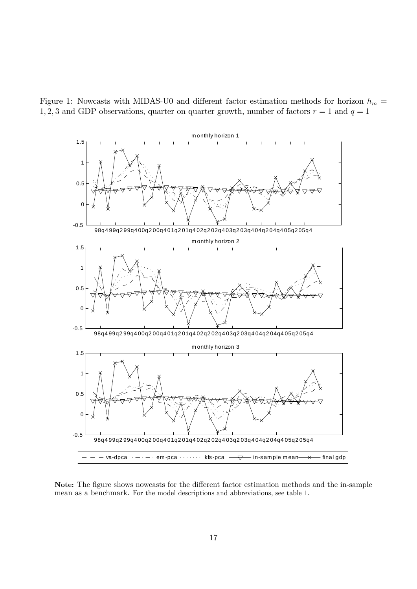Figure 1: Nowcasts with MIDAS-U0 and different factor estimation methods for horizon  $h_m =$ 1, 2, 3 and GDP observations, quarter on quarter growth, number of factors  $r = 1$  and  $q = 1$ 



Note: The figure shows nowcasts for the different factor estimation methods and the in-sample mean as a benchmark. For the model descriptions and abbreviations, see table 1.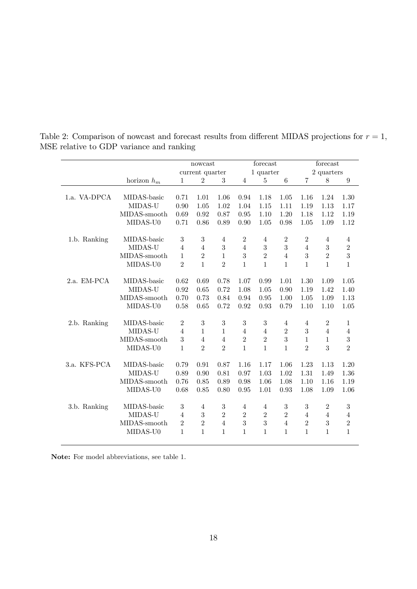|              |               |                 | nowcast        |                |                | forecast       |                 |                  | forecast       |                |  |
|--------------|---------------|-----------------|----------------|----------------|----------------|----------------|-----------------|------------------|----------------|----------------|--|
|              |               | current quarter |                |                |                | 1 quarter      |                 | 2 quarters       |                |                |  |
|              | horizon $h_m$ | $\mathbf{1}$    | $\overline{2}$ | 3              | 4              | $\overline{5}$ | $6\phantom{.}6$ | $\overline{7}$   | 8              | 9              |  |
| 1.a. VA-DPCA | MIDAS-basic   | 0.71            | 1.01           | 1.06           | 0.94           | 1.18           | 1.05            | 1.16             | 1.24           | 1.30           |  |
|              | MIDAS-U       | 0.90            | 1.05           | 1.02           | 1.04           | 1.15           | 1.11            | 1.19             | 1.13           | 1.17           |  |
|              | MIDAS-smooth  | 0.69            | 0.92           | 0.87           | 0.95           | 1.10           | 1.20            | 1.18             | 1.12           | 1.19           |  |
|              | MIDAS-U0      | 0.71            | 0.86           | 0.89           | 0.90           | 1.05           | 0.98            | 1.05             | 1.09           | 1.12           |  |
| 1.b. Ranking | MIDAS-basic   | 3               | 3              | $\overline{4}$ | $\overline{2}$ | 4              | $\overline{2}$  | $\overline{2}$   | $\overline{4}$ | 4              |  |
|              | MIDAS-U       | $\overline{4}$  | $\overline{4}$ | 3              | $\overline{4}$ | 3              | 3               | $\overline{4}$   | 3              | $\overline{2}$ |  |
|              | MIDAS-smooth  | $\mathbf{1}$    | $\overline{2}$ | $\mathbf{1}$   | 3              | $\overline{2}$ | $\overline{4}$  | 3                | $\overline{2}$ | 3              |  |
|              | MIDAS-U0      | $\overline{2}$  | $\mathbf{1}$   | $\overline{2}$ | 1              | $\mathbf{1}$   | 1               | $\mathbf{1}$     | $\mathbf{1}$   | $\mathbf{1}$   |  |
| 2.a. EM-PCA  | MIDAS-basic   | 0.62            | 0.69           | 0.78           | 1.07           | 0.99           | 1.01            | 1.30             | 1.09           | 1.05           |  |
|              | MIDAS-U       | 0.92            | 0.65           | 0.72           | 1.08           | 1.05           | 0.90            | 1.19             | 1.42           | 1.40           |  |
|              | MIDAS-smooth  | 0.70            | 0.73           | 0.84           | 0.94           | 0.95           | 1.00            | 1.05             | 1.09           | 1.13           |  |
|              | MIDAS-U0      | 0.58            | 0.65           | 0.72           | 0.92           | 0.93           | 0.79            | 1.10             | 1.10           | 1.05           |  |
| 2.b. Ranking | MIDAS-basic   | $\overline{2}$  | 3              | 3              | 3              | 3              | $\overline{4}$  | 4                | $\overline{2}$ | 1              |  |
|              | MIDAS-U       | $\overline{4}$  | 1              | $\mathbf{1}$   | $\overline{4}$ | $\overline{4}$ | $\overline{2}$  | 3                | $\overline{4}$ | $\overline{4}$ |  |
|              | MIDAS-smooth  | 3               | $\overline{4}$ | $\overline{4}$ | $\overline{2}$ | $\overline{2}$ | 3               | $\mathbf{1}$     | $\mathbf{1}$   | 3              |  |
|              | MIDAS-U0      | $\mathbf{1}$    | $\overline{2}$ | $\overline{2}$ | 1              | $\mathbf{1}$   | $\mathbf{1}$    | $\overline{2}$   | 3              | $\overline{2}$ |  |
| 3.a. KFS-PCA | MIDAS-basic   | 0.79            | 0.91           | 0.87           | 1.16           | 1.17           | 1.06            | 1.23             | 1.13           | 1.20           |  |
|              | MIDAS-U       | 0.89            | 0.90           | 0.81           | 0.97           | 1.03           | 1.02            | 1.31             | 1.49           | 1.36           |  |
|              | MIDAS-smooth  | 0.76            | 0.85           | 0.89           | 0.98           | 1.06           | 1.08            | 1.10             | 1.16           | 1.19           |  |
|              | MIDAS-U0      | 0.68            | 0.85           | 0.80           | 0.95           | 1.01           | 0.93            | 1.08             | 1.09           | 1.06           |  |
| 3.b. Ranking | MIDAS-basic   | 3               | 4              | $\sqrt{3}$     | 4              | 4              | $\sqrt{3}$      | $\boldsymbol{3}$ | $\overline{2}$ | 3              |  |
|              | MIDAS-U       | $\overline{4}$  | 3              | $\overline{2}$ | $\overline{2}$ | $\overline{2}$ | $\overline{2}$  | $\overline{4}$   | $\overline{4}$ | $\overline{4}$ |  |
|              | MIDAS-smooth  | $\overline{2}$  | $\overline{2}$ | $\overline{4}$ | 3              | 3              | $\overline{4}$  | $\overline{2}$   | 3              | $\overline{2}$ |  |
|              | MIDAS-U0      | $\mathbf{1}$    | 1              | 1              | 1              | $\mathbf{1}$   | 1               | $\mathbf{1}$     | $\mathbf{1}$   | $\mathbf{1}$   |  |

Table 2: Comparison of nowcast and forecast results from different MIDAS projections for  $r = 1$ , MSE relative to GDP variance and ranking

Note: For model abbreviations, see table 1.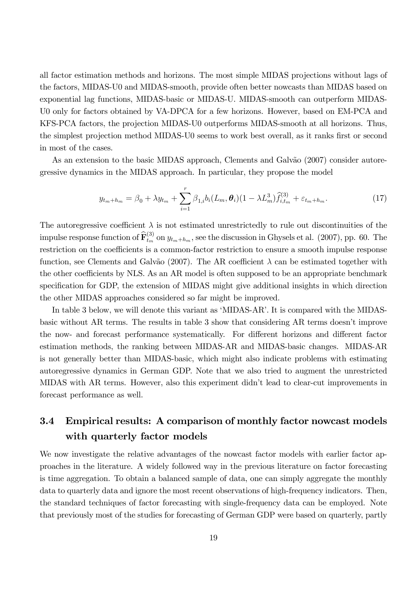all factor estimation methods and horizons. The most simple MIDAS projections without lags of the factors, MIDAS-U0 and MIDAS-smooth, provide often better nowcasts than MIDAS based on exponential lag functions, MIDAS-basic or MIDAS-U. MIDAS-smooth can outperform MIDAS-U0 only for factors obtained by VA-DPCA for a few horizons. However, based on EM-PCA and KFS-PCA factors, the projection MIDAS-U0 outperforms MIDAS-smooth at all horizons. Thus, the simplest projection method MIDAS-U0 seems to work best overall, as it ranks first or second in most of the cases.

As an extension to the basic MIDAS approach, Clements and Galvão (2007) consider autoregressive dynamics in the MIDAS approach. In particular, they propose the model

$$
y_{t_m+h_m} = \beta_0 + \lambda y_{t_m} + \sum_{i=1}^r \beta_{1,i} b_i (L_m, \theta_i) (1 - \lambda L_m^3) \widehat{f}_{i,t_m}^{(3)} + \varepsilon_{t_m+h_m}.
$$
 (17)

The autoregressive coefficient  $\lambda$  is not estimated unrestrictedly to rule out discontinuities of the impulse response function of  $\widehat{\mathbf{F}}_{t_m}^{(3)}$  on  $y_{t_m+h_m}$ , see the discussion in Ghysels et al. (2007), pp. 60. The restriction on the coefficients is a common-factor restriction to ensure a smooth impulse response function, see Clements and Galvão (2007). The AR coefficient  $\lambda$  can be estimated together with the other coefficients by NLS. As an AR model is often supposed to be an appropriate benchmark specification for GDP, the extension of MIDAS might give additional insights in which direction the other MIDAS approaches considered so far might be improved.

In table 3 below, we will denote this variant as 'MIDAS-AR'. It is compared with the MIDASbasic without AR terms. The results in table 3 show that considering AR terms doesn't improve the now- and forecast performance systematically. For different horizons and different factor estimation methods, the ranking between MIDAS-AR and MIDAS-basic changes. MIDAS-AR is not generally better than MIDAS-basic, which might also indicate problems with estimating autoregressive dynamics in German GDP. Note that we also tried to augment the unrestricted MIDAS with AR terms. However, also this experiment didnít lead to clear-cut improvements in forecast performance as well.

### 3.4 Empirical results: A comparison of monthly factor nowcast models with quarterly factor models

We now investigate the relative advantages of the nowcast factor models with earlier factor approaches in the literature. A widely followed way in the previous literature on factor forecasting is time aggregation. To obtain a balanced sample of data, one can simply aggregate the monthly data to quarterly data and ignore the most recent observations of high-frequency indicators. Then, the standard techniques of factor forecasting with single-frequency data can be employed. Note that previously most of the studies for forecasting of German GDP were based on quarterly, partly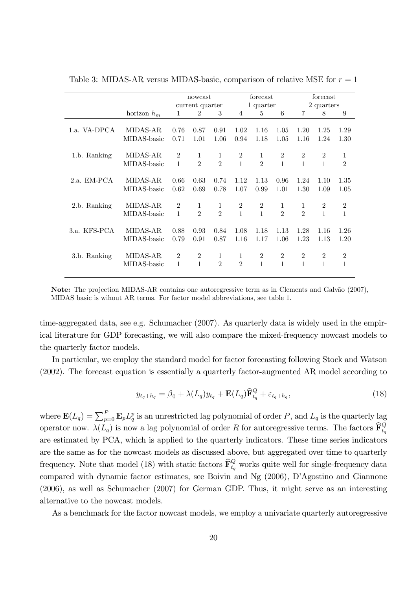|               |                         |                     | nowcast             |                     |                                | forecast                       |                     | forecast            |                                |                   |  |
|---------------|-------------------------|---------------------|---------------------|---------------------|--------------------------------|--------------------------------|---------------------|---------------------|--------------------------------|-------------------|--|
|               |                         |                     | current quarter     |                     |                                | 1 quarter                      |                     | 2 quarters          |                                |                   |  |
|               | horizon $h_m$           | 1                   | $\overline{2}$      | 3                   | $\overline{4}$                 | 5                              | 6                   | $\overline{7}$      | 8                              | 9                 |  |
| 1.a. VA-DPCA  | MIDAS-AR<br>MIDAS-basic | 0.76<br>0.71        | 0.87<br>1.01        | 0.91<br>1.06        | 1.02<br>0.94                   | 1.16<br>1.18                   | 1.05<br>1.05        | 1.20<br>1.16        | 1.25<br>1.24                   | 1.29<br>1.30      |  |
|               |                         |                     |                     |                     |                                |                                |                     |                     |                                |                   |  |
| 1.b. Ranking  | MIDAS-AR                | $\overline{2}$      | 1                   | 1                   | $\overline{2}$                 | 1                              | $\overline{2}$      | $\overline{2}$      | $\overline{2}$                 | 1                 |  |
|               | MIDAS-basic             | 1                   | $\overline{2}$      | $\overline{2}$      | $\mathbf{1}$                   | $\overline{2}$                 | $\mathbf{1}$        | $\mathbf{1}$        | $\mathbf{1}$                   | $\overline{2}$    |  |
| $2.a.$ EM-PCA | MIDAS-AR<br>MIDAS-basic | 0.66                | 0.63                | 0.74                | 1.12                           | 1.13                           | 0.96                | 1.24                | 1.10                           | 1.35              |  |
|               |                         | 0.62                | 0.69                | 0.78                | 1.07                           | 0.99                           | 1.01                | 1.30                | 1.09                           | 1.05              |  |
| 2.b. Ranking  | MIDAS-AR<br>MIDAS-basic | $\overline{2}$<br>1 | 1<br>$\mathfrak{D}$ | 1<br>$\mathfrak{D}$ | $\overline{2}$<br>$\mathbf{1}$ | $\overline{2}$<br>$\mathbf{1}$ | 1<br>$\mathfrak{D}$ | 1<br>$\mathfrak{D}$ | $\overline{2}$<br>$\mathbf{1}$ | 2<br>$\mathbf{1}$ |  |
|               |                         |                     |                     |                     |                                |                                |                     |                     |                                |                   |  |
| 3.a. KFS-PCA  | MIDAS-AR                | 0.88                | 0.93                | 0.84                | 1.08                           | 1.18                           | 1.13                | 1.28                | 1.16                           | 1.26              |  |
|               | MIDAS-basic             | 0.79                | 0.91                | 0.87                | 1.16                           | 1.17                           | 1.06                | 1.23                | 1.13                           | 1.20              |  |
| 3.b. Ranking  | MIDAS-AR                | $\overline{2}$      | $\overline{2}$      | 1                   | 1                              | $\overline{2}$                 | $\overline{2}$      | $\overline{2}$      | $\overline{2}$                 | $\boldsymbol{2}$  |  |
|               | MIDAS-basic             | 1                   | 1                   | $\mathfrak{D}$      | $\mathfrak{D}$                 | $\mathbf{1}$                   | 1                   | 1                   | 1                              | 1                 |  |

Table 3: MIDAS-AR versus MIDAS-basic, comparison of relative MSE for  $r = 1$ 

Note: The projection MIDAS-AR contains one autoregressive term as in Clements and Galvão (2007), MIDAS basic is wihout AR terms. For factor model abbreviations, see table 1.

time-aggregated data, see e.g. Schumacher (2007). As quarterly data is widely used in the empirical literature for GDP forecasting, we will also compare the mixed-frequency nowcast models to the quarterly factor models.

In particular, we employ the standard model for factor forecasting following Stock and Watson (2002). The forecast equation is essentially a quarterly factor-augmented AR model according to

$$
y_{t_q+h_q} = \beta_0 + \lambda(L_q)y_{t_q} + \mathbf{E}(L_q)\widehat{\mathbf{F}}_{t_q}^Q + \varepsilon_{t_q+h_q},\tag{18}
$$

where  $\mathbf{E}(L_q) = \sum_{p=0}^{P} \mathbf{E}_p L_q^p$  is an unrestricted lag polynomial of order P, and  $L_q$  is the quarterly lag operator now.  $\lambda(L_q)$  is now a lag polynomial of order R for autoregressive terms. The factors  $\widehat{\mathbf{F}}_{t_q}^Q$ are estimated by PCA, which is applied to the quarterly indicators. These time series indicators are the same as for the nowcast models as discussed above, but aggregated over time to quarterly frequency. Note that model (18) with static factors  $\widehat{\mathbf{F}}_{t_q}^Q$  works quite well for single-frequency data compared with dynamic factor estimates, see Boivin and Ng (2006), D'Agostino and Giannone (2006), as well as Schumacher (2007) for German GDP. Thus, it might serve as an interesting alternative to the nowcast models.

As a benchmark for the factor nowcast models, we employ a univariate quarterly autoregressive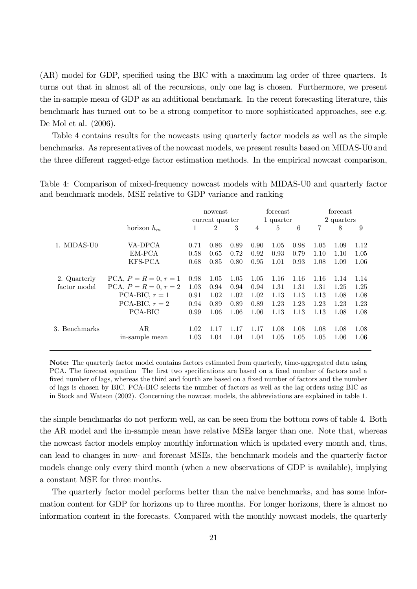(AR) model for GDP, specified using the BIC with a maximum lag order of three quarters. It turns out that in almost all of the recursions, only one lag is chosen. Furthermore, we present the in-sample mean of GDP as an additional benchmark. In the recent forecasting literature, this benchmark has turned out to be a strong competitor to more sophisticated approaches, see e.g. De Mol et al. (2006).

Table 4 contains results for the nowcasts using quarterly factor models as well as the simple benchmarks. As representatives of the nowcast models, we present results based on MIDAS-U0 and the three different ragged-edge factor estimation methods. In the empirical nowcast comparison,

|               |                         | nowcast         |                |      |      | forecast  |      | forecast       |      |      |  |
|---------------|-------------------------|-----------------|----------------|------|------|-----------|------|----------------|------|------|--|
|               |                         | current quarter |                |      |      | 1 quarter |      | 2 quarters     |      |      |  |
|               | horizon $h_m$           | 1               | $\overline{2}$ | 3    | 4    | 5         | 6    | $\overline{7}$ | 8    | 9    |  |
|               |                         |                 |                |      |      |           |      |                |      |      |  |
| 1. MIDAS-U0   | VA-DPCA                 | 0.71            | 0.86           | 0.89 | 0.90 | 1.05      | 0.98 | 1.05           | 1.09 | 1.12 |  |
|               | EM-PCA                  | 0.58            | 0.65           | 0.72 | 0.92 | 0.93      | 0.79 | 1.10           | 1.10 | 1.05 |  |
|               | KFS-PCA                 | 0.68            | 0.85           | 0.80 | 0.95 | 1.01      | 0.93 | 1.08           | 1.09 | 1.06 |  |
|               |                         |                 |                |      |      |           |      |                |      |      |  |
| 2. Quarterly  | PCA, $P = R = 0, r = 1$ | 0.98            | 1.05           | 1.05 | 1.05 | 1.16      | 1.16 | 1.16           | 1.14 | 1.14 |  |
| factor model  | $PCA, P = R = 0, r = 2$ | 1.03            | 0.94           | 0.94 | 0.94 | 1.31      | 1.31 | 1.31           | 1.25 | 1.25 |  |
|               | PCA-BIC, $r=1$          | 0.91            | 1.02           | 1.02 | 1.02 | 1.13      | 1.13 | 1.13           | 1.08 | 1.08 |  |
|               | PCA-BIC, $r = 2$        | 0.94            | 0.89           | 0.89 | 0.89 | 1.23      | 1.23 | 1.23           | 1.23 | 1.23 |  |
|               | PCA-BIC                 | 0.99            | 1.06           | 1.06 | 1.06 | 1.13      | 1.13 | 1.13           | 1.08 | 1.08 |  |
|               |                         |                 |                |      |      |           |      |                |      |      |  |
| 3. Benchmarks | AR                      | 1.02            | 1.17           | 1.17 | 1.17 | 1.08      | 1.08 | 1.08           | 1.08 | 1.08 |  |
|               | in-sample mean          | 1.03            | 1.04           | 1.04 | 1.04 | 1.05      | 1.05 | 1.05           | 1.06 | 1.06 |  |
|               |                         |                 |                |      |      |           |      |                |      |      |  |

Table 4: Comparison of mixed-frequency nowcast models with MIDAS-U0 and quarterly factor and benchmark models, MSE relative to GDP variance and ranking

Note: The quarterly factor model contains factors estimated from quarterly, time-aggregated data using PCA. The forecast equation The first two specifications are based on a fixed number of factors and a fixed number of lags, whereas the third and fourth are based on a fixed number of factors and the number of lags is chosen by BIC. PCA-BIC selects the number of factors as well as the lag orders using BIC as in Stock and Watson (2002). Concerning the nowcast models, the abbreviations are explained in table 1.

the simple benchmarks do not perform well, as can be seen from the bottom rows of table 4. Both the AR model and the in-sample mean have relative MSEs larger than one. Note that, whereas the nowcast factor models employ monthly information which is updated every month and, thus, can lead to changes in now- and forecast MSEs, the benchmark models and the quarterly factor models change only every third month (when a new observations of GDP is available), implying a constant MSE for three months.

The quarterly factor model performs better than the naive benchmarks, and has some information content for GDP for horizons up to three months. For longer horizons, there is almost no information content in the forecasts. Compared with the monthly nowcast models, the quarterly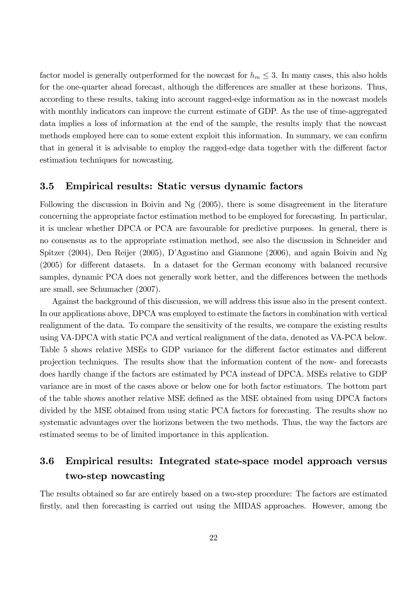factor model is generally outperformed for the nowcast for  $h_m \leq 3$ . In many cases, this also holds for the one-quarter ahead forecast, although the differences are smaller at these horizons. Thus, according to these results, taking into account ragged-edge information as in the nowcast models with monthly indicators can improve the current estimate of GDP. As the use of time-aggregated data implies a loss of information at the end of the sample, the results imply that the nowcast methods employed here can to some extent exploit this information. In summary, we can confirm that in general it is advisable to employ the ragged-edge data together with the different factor estimation techniques for nowcasting.

### 3.5 Empirical results: Static versus dynamic factors

Following the discussion in Boivin and Ng (2005), there is some disagreement in the literature concerning the appropriate factor estimation method to be employed for forecasting. In particular, it is unclear whether DPCA or PCA are favourable for predictive purposes. In general, there is no consensus as to the appropriate estimation method, see also the discussion in Schneider and Spitzer (2004), Den Reijer (2005), DíAgostino and Giannone (2006), and again Boivin and Ng  $(2005)$  for different datasets. In a dataset for the German economy with balanced recursive samples, dynamic PCA does not generally work better, and the differences between the methods are small, see Schumacher (2007).

Against the background of this discussion, we will address this issue also in the present context. In our applications above, DPCA was employed to estimate the factors in combination with vertical realignment of the data. To compare the sensitivity of the results, we compare the existing results using VA-DPCA with static PCA and vertical realignment of the data, denoted as VA-PCA below. Table 5 shows relative MSEs to GDP variance for the different factor estimates and different projection techniques. The results show that the information content of the now- and forecasts does hardly change if the factors are estimated by PCA instead of DPCA. MSEs relative to GDP variance are in most of the cases above or below one for both factor estimators. The bottom part of the table shows another relative MSE defined as the MSE obtained from using DPCA factors divided by the MSE obtained from using static PCA factors for forecasting. The results show no systematic advantages over the horizons between the two methods. Thus, the way the factors are estimated seems to be of limited importance in this application.

### 3.6 Empirical results: Integrated state-space model approach versus two-step nowcasting

The results obtained so far are entirely based on a two-step procedure: The factors are estimated firstly, and then forecasting is carried out using the MIDAS approaches. However, among the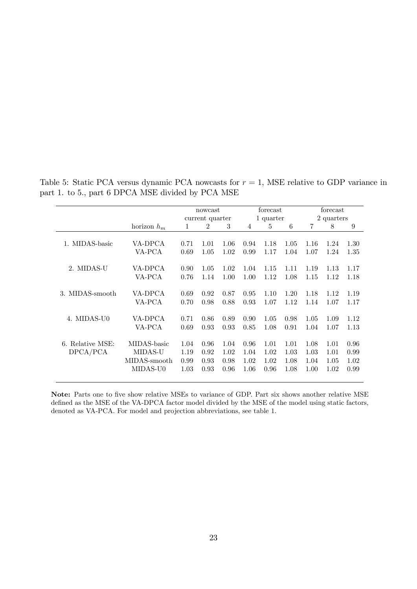|                              |               |      | nowcast         |      |      | forecast  |      | forecast       |            |      |
|------------------------------|---------------|------|-----------------|------|------|-----------|------|----------------|------------|------|
|                              |               |      | current quarter |      |      | 1 quarter |      |                | 2 quarters |      |
|                              | horizon $h_m$ | 1    | $\overline{2}$  | 3    | 4    | 5         | 6    | $\overline{7}$ | 8          | 9    |
| 1. MIDAS-basic               | VA-DPCA       | 0.71 | 1.01            | 1.06 | 0.94 | 1.18      | 1.05 | 1.16           | 1.24       | 1.30 |
|                              | VA-PCA        | 0.69 | 1.05            | 1.02 | 0.99 | 1.17      | 1.04 | 1.07           | 1.24       | 1.35 |
|                              |               |      |                 |      |      |           |      |                |            |      |
| 2. MIDAS-U                   | VA-DPCA       | 0.90 | 1.05            | 1.02 | 1.04 | 1.15      | 1.11 | 1.19           | 1.13       | 1.17 |
|                              | VA-PCA        | 0.76 | 1.14            | 1.00 | 1.00 | 1.12      | 1.08 | 1.15           | 1.12       | 1.18 |
| 3. MIDAS-smooth              | VA-DPCA       | 0.69 | 0.92            | 0.87 | 0.95 | 1.10      | 1.20 | 1.18           | 1.12       | 1.19 |
|                              | VA-PCA        | 0.70 | 0.98            | 0.88 | 0.93 | 1.07      | 1.12 | 1.14           | 1.07       | 1.17 |
|                              |               |      |                 |      |      |           |      |                |            |      |
| MIDAS-U0<br>$\overline{4}$ . | VA-DPCA       | 0.71 | 0.86            | 0.89 | 0.90 | 1.05      | 0.98 | 1.05           | 1.09       | 1.12 |
|                              | VA-PCA        | 0.69 | 0.93            | 0.93 | 0.85 | 1.08      | 0.91 | 1.04           | 1.07       | 1.13 |
| 6. Relative MSE:             | MIDAS-basic   | 1.04 | 0.96            | 1.04 | 0.96 | 1.01      | 1.01 | 1.08           | 1.01       | 0.96 |
| DPCA/PCA                     | MIDAS-U       | 1.19 | 0.92            | 1.02 | 1.04 | 1.02      | 1.03 | 1.03           | 1.01       | 0.99 |
|                              | MIDAS-smooth  | 0.99 | 0.93            | 0.98 | 1.02 | 1.02      | 1.08 | 1.04           | 1.05       | 1.02 |
|                              | MIDAS-U0      | 1.03 | 0.93            | 0.96 | 1.06 | 0.96      | 1.08 | 1.00           | 1.02       | 0.99 |
|                              |               |      |                 |      |      |           |      |                |            |      |

Table 5: Static PCA versus dynamic PCA nowcasts for  $r = 1$ , MSE relative to GDP variance in part 1. to 5., part 6 DPCA MSE divided by PCA MSE

Note: Parts one to five show relative MSEs to variance of GDP. Part six shows another relative MSE defined as the MSE of the VA-DPCA factor model divided by the MSE of the model using static factors, denoted as VA-PCA. For model and projection abbreviations, see table 1.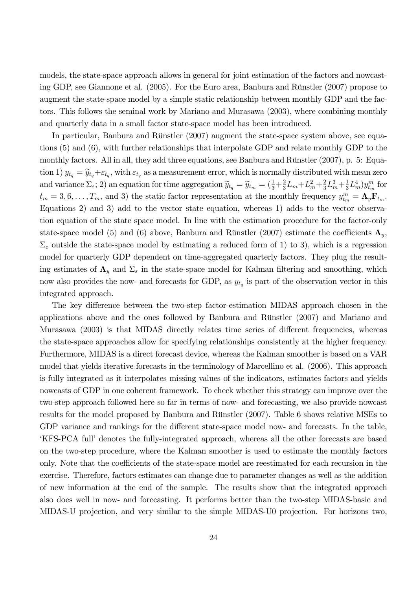models, the state-space approach allows in general for joint estimation of the factors and nowcasting GDP, see Giannone et al. (2005). For the Euro area, Banbura and Rünstler (2007) propose to augment the state-space model by a simple static relationship between monthly GDP and the factors. This follows the seminal work by Mariano and Murasawa (2003), where combining monthly and quarterly data in a small factor state-space model has been introduced.

In particular, Banbura and Rünstler (2007) augment the state-space system above, see equations (5) and (6), with further relationships that interpolate GDP and relate monthly GDP to the monthly factors. All in all, they add three equations, see Banbura and Rünstler  $(2007)$ , p. 5: Equation 1)  $y_{t_q} = \widetilde{y}_{t_q} + \varepsilon_{t_q}$ , with  $\varepsilon_{t_q}$  as a measurement error, which is normally distributed with mean zero and variance  $\Sigma_{\varepsilon}$ ; 2) an equation for time aggregation  $\widetilde{y}_{t_q} = \widetilde{y}_{t_m} = (\frac{1}{3} + \frac{2}{3})$  $\frac{2}{3}L_m + L_m^2 + \frac{2}{3}$  $\frac{2}{3}L_m^3 + \frac{1}{3}$  $\frac{1}{3}L_m^4$   $)y_{t_m}^m$  for  $t_m = 3, 6, \ldots, T_m$ , and 3) the static factor representation at the monthly frequency  $y_{t_m}^m = \Lambda_y \mathbf{F}_{t_m}$ . Equations 2) and 3) add to the vector state equation, whereas 1) adds to the vector observation equation of the state space model. In line with the estimation procedure for the factor-only state-space model (5) and (6) above, Banbura and Rünstler (2007) estimate the coefficients  $\Lambda_{v}$ ,  $\Sigma_{\varepsilon}$  outside the state-space model by estimating a reduced form of 1) to 3), which is a regression model for quarterly GDP dependent on time-aggregated quarterly factors. They plug the resulting estimates of  $\Lambda_y$  and  $\Sigma_\varepsilon$  in the state-space model for Kalman filtering and smoothing, which now also provides the now- and forecasts for GDP, as  $y_{t_q}$  is part of the observation vector in this integrated approach.

The key difference between the two-step factor-estimation MIDAS approach chosen in the applications above and the ones followed by Banbura and Rünstler  $(2007)$  and Mariano and Murasawa (2003) is that MIDAS directly relates time series of different frequencies, whereas the state-space approaches allow for specifying relationships consistently at the higher frequency. Furthermore, MIDAS is a direct forecast device, whereas the Kalman smoother is based on a VAR model that yields iterative forecasts in the terminology of Marcellino et al. (2006). This approach is fully integrated as it interpolates missing values of the indicators, estimates factors and yields nowcasts of GDP in one coherent framework. To check whether this strategy can improve over the two-step approach followed here so far in terms of now- and forecasting, we also provide nowcast results for the model proposed by Banbura and Rünstler  $(2007)$ . Table 6 shows relative MSEs to GDP variance and rankings for the different state-space model now- and forecasts. In the table, EKFS-PCA full denotes the fully-integrated approach, whereas all the other forecasts are based on the two-step procedure, where the Kalman smoother is used to estimate the monthly factors only. Note that the coefficients of the state-space model are reestimated for each recursion in the exercise. Therefore, factors estimates can change due to parameter changes as well as the addition of new information at the end of the sample. The results show that the integrated approach also does well in now- and forecasting. It performs better than the two-step MIDAS-basic and MIDAS-U projection, and very similar to the simple MIDAS-U0 projection. For horizons two,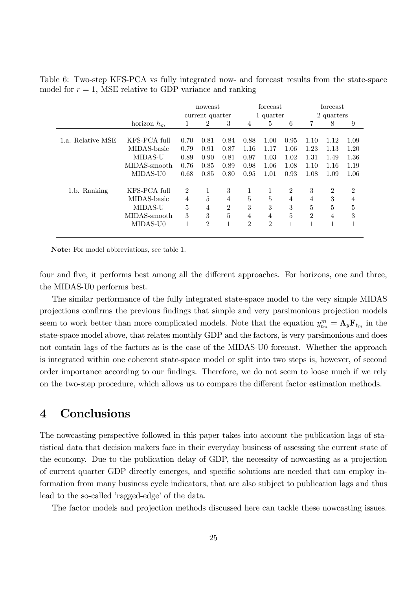|                   |               |                | nowcast                     |                |                | forecast       |                |                | forecast       |                |
|-------------------|---------------|----------------|-----------------------------|----------------|----------------|----------------|----------------|----------------|----------------|----------------|
|                   |               |                | current quarter             |                |                | 1 quarter      |                | 2 quarters     |                |                |
|                   | horizon $h_m$ | 1              | $\overline{2}$              | 3              | 4              | 5              | 6              | 7              | 8              | 9              |
|                   |               |                |                             |                |                |                |                |                |                |                |
| 1.a. Relative MSE | KFS-PCA full  | 0.70           | 0.81                        | 0.84           | 0.88           | 1.00           | 0.95           | 1.10           | 1.12           | 1.09           |
|                   | MIDAS-basic   | 0.79           | 0.91                        | 0.87           | 1.16           | 1.17           | 1.06           | 1.23           | 1.13           | 1.20           |
|                   | MIDAS-U       | 0.89           | 0.90                        | 0.81           | 0.97           | 1.03           | 1.02           | 1.31           | 1.49           | 1.36           |
|                   | MIDAS-smooth  | 0.76           | 0.85                        | 0.89           | 0.98           | 1.06           | 1.08           | 1.10           | 1.16           | 1.19           |
|                   | MIDAS-U0      | 0.68           | 0.85                        | 0.80           | 0.95           | 1.01           | 0.93           | 1.08           | 1.09           | 1.06           |
| 1.b. Ranking      | KFS-PCA full  | $\overline{2}$ | 1                           | 3              |                |                | $\overline{2}$ | 3              | $\overline{2}$ | $\overline{2}$ |
|                   | MIDAS-basic   | $\overline{4}$ | $\overline{5}$              | 4              | 5              | 5              | $\overline{4}$ | $\overline{4}$ | 3              | 4              |
|                   | MIDAS-U       | 5              | $\overline{4}$              | $\overline{2}$ | 3              | 3              | 3              | 5              | 5              | 5              |
|                   | MIDAS-smooth  | 3              | 3                           | 5              | 4              | 4              | 5              | $\overline{2}$ | $\overline{4}$ | 3              |
|                   | MIDAS-U0      | 1              | $\mathcal{D}_{\mathcal{L}}$ | 1              | $\mathfrak{D}$ | $\overline{2}$ | 1              | 1              | 1              | $\mathbf{1}$   |
|                   |               |                |                             |                |                |                |                |                |                |                |

Table 6: Two-step KFS-PCA vs fully integrated now- and forecast results from the state-space model for  $r = 1$ , MSE relative to GDP variance and ranking

Note: For model abbreviations, see table 1.

four and five, it performs best among all the different approaches. For horizons, one and three, the MIDAS-U0 performs best.

The similar performance of the fully integrated state-space model to the very simple MIDAS projections confirms the previous findings that simple and very parsimonious projection models seem to work better than more complicated models. Note that the equation  $y_{t_m}^m = \mathbf{\Lambda}_y \mathbf{F}_{t_m}$  in the state-space model above, that relates monthly GDP and the factors, is very parsimonious and does not contain lags of the factors as is the case of the MIDAS-U0 forecast. Whether the approach is integrated within one coherent state-space model or split into two steps is, however, of second order importance according to our findings. Therefore, we do not seem to loose much if we rely on the two-step procedure, which allows us to compare the different factor estimation methods.

### 4 Conclusions

The nowcasting perspective followed in this paper takes into account the publication lags of statistical data that decision makers face in their everyday business of assessing the current state of the economy. Due to the publication delay of GDP, the necessity of nowcasting as a projection of current quarter GDP directly emerges, and specific solutions are needed that can employ information from many business cycle indicators, that are also subject to publication lags and thus lead to the so-called 'ragged-edge' of the data.

The factor models and projection methods discussed here can tackle these nowcasting issues.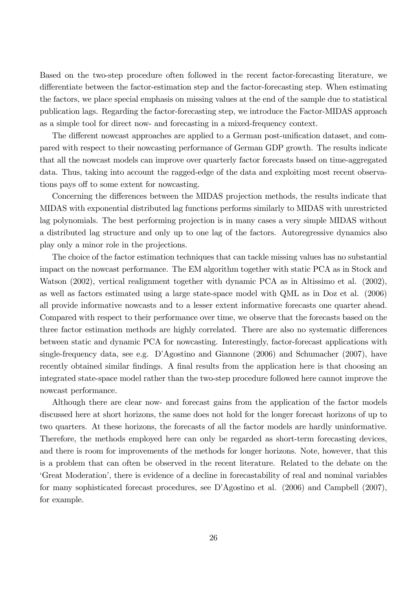Based on the two-step procedure often followed in the recent factor-forecasting literature, we differentiate between the factor-estimation step and the factor-forecasting step. When estimating the factors, we place special emphasis on missing values at the end of the sample due to statistical publication lags. Regarding the factor-forecasting step, we introduce the Factor-MIDAS approach as a simple tool for direct now- and forecasting in a mixed-frequency context.

The different nowcast approaches are applied to a German post-unification dataset, and compared with respect to their nowcasting performance of German GDP growth. The results indicate that all the nowcast models can improve over quarterly factor forecasts based on time-aggregated data. Thus, taking into account the ragged-edge of the data and exploiting most recent observations pays of to some extent for nowcasting.

Concerning the differences between the MIDAS projection methods, the results indicate that MIDAS with exponential distributed lag functions performs similarly to MIDAS with unrestricted lag polynomials. The best performing projection is in many cases a very simple MIDAS without a distributed lag structure and only up to one lag of the factors. Autoregressive dynamics also play only a minor role in the projections.

The choice of the factor estimation techniques that can tackle missing values has no substantial impact on the nowcast performance. The EM algorithm together with static PCA as in Stock and Watson (2002), vertical realignment together with dynamic PCA as in Altissimo et al. (2002), as well as factors estimated using a large state-space model with QML as in Doz et al. (2006) all provide informative nowcasts and to a lesser extent informative forecasts one quarter ahead. Compared with respect to their performance over time, we observe that the forecasts based on the three factor estimation methods are highly correlated. There are also no systematic differences between static and dynamic PCA for nowcasting. Interestingly, factor-forecast applications with single-frequency data, see e.g. D'Agostino and Giannone (2006) and Schumacher (2007), have recently obtained similar findings. A final results from the application here is that choosing an integrated state-space model rather than the two-step procedure followed here cannot improve the nowcast performance.

Although there are clear now- and forecast gains from the application of the factor models discussed here at short horizons, the same does not hold for the longer forecast horizons of up to two quarters. At these horizons, the forecasts of all the factor models are hardly uninformative. Therefore, the methods employed here can only be regarded as short-term forecasting devices, and there is room for improvements of the methods for longer horizons. Note, however, that this is a problem that can often be observed in the recent literature. Related to the debate on the ëGreat Moderationí, there is evidence of a decline in forecastability of real and nominal variables for many sophisticated forecast procedures, see DíAgostino et al. (2006) and Campbell (2007), for example.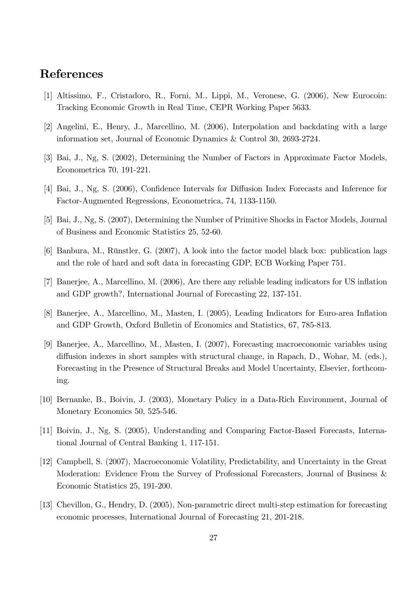### References

- [1] Altissimo, F., Cristadoro, R., Forni, M., Lippi, M., Veronese, G. (2006), New Eurocoin: Tracking Economic Growth in Real Time, CEPR Working Paper 5633.
- [2] Angelini, E., Henry, J., Marcellino, M. (2006), Interpolation and backdating with a large information set, Journal of Economic Dynamics & Control 30, 2693-2724.
- [3] Bai, J., Ng, S. (2002), Determining the Number of Factors in Approximate Factor Models, Econometrica 70, 191-221.
- [4] Bai, J., Ng, S. (2006), Confidence Intervals for Diffusion Index Forecasts and Inference for Factor-Augmented Regressions, Econometrica, 74, 1133-1150.
- [5] Bai, J., Ng, S. (2007), Determining the Number of Primitive Shocks in Factor Models, Journal of Business and Economic Statistics 25, 52-60.
- $[6]$  Banbura, M., Rünstler, G. (2007), A look into the factor model black box: publication lags and the role of hard and soft data in forecasting GDP, ECB Working Paper 751.
- [7] Banerjee, A., Marcellino, M. (2006), Are there any reliable leading indicators for US inflation and GDP growth?, International Journal of Forecasting 22, 137-151.
- [8] Banerjee, A., Marcellino, M., Masten, I. (2005), Leading Indicators for Euro-area Inflation and GDP Growth, Oxford Bulletin of Economics and Statistics, 67, 785-813.
- [9] Banerjee, A., Marcellino, M., Masten, I. (2007), Forecasting macroeconomic variables using diffusion indexes in short samples with structural change, in Rapach, D., Wohar, M. (eds.), Forecasting in the Presence of Structural Breaks and Model Uncertainty, Elsevier, forthcoming.
- [10] Bernanke, B., Boivin, J. (2003), Monetary Policy in a Data-Rich Environment, Journal of Monetary Economics 50, 525-546.
- [11] Boivin, J., Ng, S. (2005), Understanding and Comparing Factor-Based Forecasts, International Journal of Central Banking 1, 117-151.
- [12] Campbell, S. (2007), Macroeconomic Volatility, Predictability, and Uncertainty in the Great Moderation: Evidence From the Survey of Professional Forecasters, Journal of Business & Economic Statistics 25, 191-200.
- [13] Chevillon, G., Hendry, D. (2005), Non-parametric direct multi-step estimation for forecasting economic processes, International Journal of Forecasting 21, 201-218.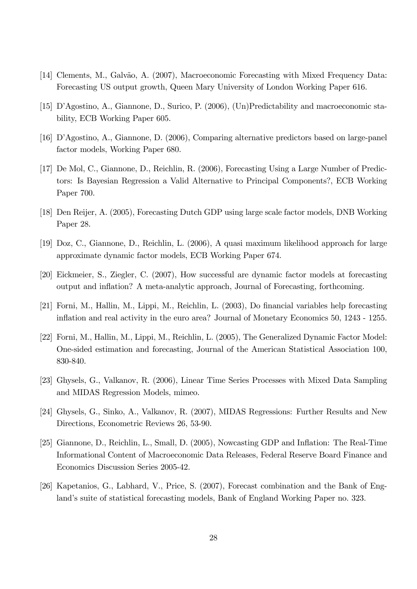- [14] Clements, M., Galvão, A. (2007), Macroeconomic Forecasting with Mixed Frequency Data: Forecasting US output growth, Queen Mary University of London Working Paper 616.
- [15] DíAgostino, A., Giannone, D., Surico, P. (2006), (Un)Predictability and macroeconomic stability, ECB Working Paper 605.
- [16] DíAgostino, A., Giannone, D. (2006), Comparing alternative predictors based on large-panel factor models, Working Paper 680.
- [17] De Mol, C., Giannone, D., Reichlin, R. (2006), Forecasting Using a Large Number of Predictors: Is Bayesian Regression a Valid Alternative to Principal Components?, ECB Working Paper 700.
- [18] Den Reijer, A. (2005), Forecasting Dutch GDP using large scale factor models, DNB Working Paper 28.
- [19] Doz, C., Giannone, D., Reichlin, L. (2006), A quasi maximum likelihood approach for large approximate dynamic factor models, ECB Working Paper 674.
- [20] Eickmeier, S., Ziegler, C. (2007), How successful are dynamic factor models at forecasting output and inflation? A meta-analytic approach, Journal of Forecasting, forthcoming.
- [21] Forni, M., Hallin, M., Lippi, M., Reichlin, L. (2003), Do financial variables help forecasting ináation and real activity in the euro area? Journal of Monetary Economics 50, 1243 - 1255.
- [22] Forni, M., Hallin, M., Lippi, M., Reichlin, L. (2005), The Generalized Dynamic Factor Model: One-sided estimation and forecasting, Journal of the American Statistical Association 100, 830-840.
- [23] Ghysels, G., Valkanov, R. (2006), Linear Time Series Processes with Mixed Data Sampling and MIDAS Regression Models, mimeo.
- [24] Ghysels, G., Sinko, A., Valkanov, R. (2007), MIDAS Regressions: Further Results and New Directions, Econometric Reviews 26, 53-90.
- [25] Giannone, D., Reichlin, L., Small, D. (2005), Nowcasting GDP and Inflation: The Real-Time Informational Content of Macroeconomic Data Releases, Federal Reserve Board Finance and Economics Discussion Series 2005-42.
- [26] Kapetanios, G., Labhard, V., Price, S. (2007), Forecast combination and the Bank of England's suite of statistical forecasting models, Bank of England Working Paper no. 323.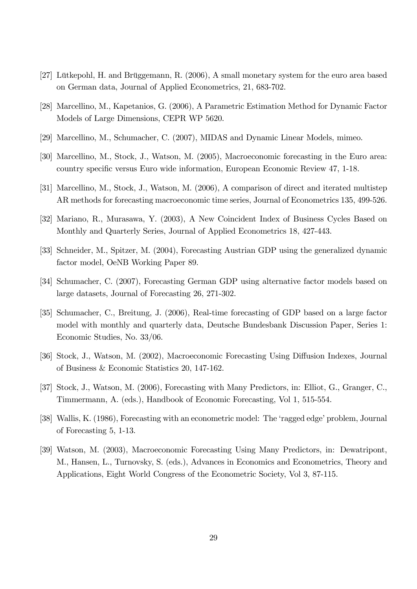- [27] Lütkepohl, H. and Brüggemann, R. (2006), A small monetary system for the euro area based on German data, Journal of Applied Econometrics, 21, 683-702.
- [28] Marcellino, M., Kapetanios, G. (2006), A Parametric Estimation Method for Dynamic Factor Models of Large Dimensions, CEPR WP 5620.
- [29] Marcellino, M., Schumacher, C. (2007), MIDAS and Dynamic Linear Models, mimeo.
- [30] Marcellino, M., Stock, J., Watson, M. (2005), Macroeconomic forecasting in the Euro area: country specific versus Euro wide information, European Economic Review 47, 1-18.
- [31] Marcellino, M., Stock, J., Watson, M. (2006), A comparison of direct and iterated multistep AR methods for forecasting macroeconomic time series, Journal of Econometrics 135, 499-526.
- [32] Mariano, R., Murasawa, Y. (2003), A New Coincident Index of Business Cycles Based on Monthly and Quarterly Series, Journal of Applied Econometrics 18, 427-443.
- [33] Schneider, M., Spitzer, M. (2004), Forecasting Austrian GDP using the generalized dynamic factor model, OeNB Working Paper 89.
- [34] Schumacher, C. (2007), Forecasting German GDP using alternative factor models based on large datasets, Journal of Forecasting 26, 271-302.
- [35] Schumacher, C., Breitung, J. (2006), Real-time forecasting of GDP based on a large factor model with monthly and quarterly data, Deutsche Bundesbank Discussion Paper, Series 1: Economic Studies, No. 33/06.
- [36] Stock, J., Watson, M. (2002), Macroeconomic Forecasting Using Diffusion Indexes, Journal of Business & Economic Statistics 20, 147-162.
- [37] Stock, J., Watson, M. (2006), Forecasting with Many Predictors, in: Elliot, G., Granger, C., Timmermann, A. (eds.), Handbook of Economic Forecasting, Vol 1, 515-554.
- [38] Wallis, K. (1986), Forecasting with an econometric model: The 'ragged edge' problem, Journal of Forecasting 5, 1-13.
- [39] Watson, M. (2003), Macroeconomic Forecasting Using Many Predictors, in: Dewatripont, M., Hansen, L., Turnovsky, S. (eds.), Advances in Economics and Econometrics, Theory and Applications, Eight World Congress of the Econometric Society, Vol 3, 87-115.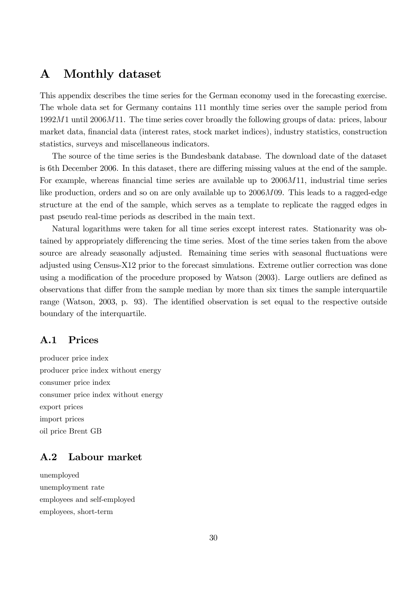### A Monthly dataset

This appendix describes the time series for the German economy used in the forecasting exercise. The whole data set for Germany contains 111 monthly time series over the sample period from  $1992M1$  until  $2006M11$ . The time series cover broadly the following groups of data: prices, labour market data, financial data (interest rates, stock market indices), industry statistics, construction statistics, surveys and miscellaneous indicators.

The source of the time series is the Bundesbank database. The download date of the dataset is 6th December 2006. In this dataset, there are differing missing values at the end of the sample. For example, whereas financial time series are available up to  $2006M11$ , industrial time series like production, orders and so on are only available up to 2006M09. This leads to a ragged-edge structure at the end of the sample, which serves as a template to replicate the ragged edges in past pseudo real-time periods as described in the main text.

Natural logarithms were taken for all time series except interest rates. Stationarity was obtained by appropriately differencing the time series. Most of the time series taken from the above source are already seasonally adjusted. Remaining time series with seasonal fluctuations were adjusted using Census-X12 prior to the forecast simulations. Extreme outlier correction was done using a modification of the procedure proposed by Watson  $(2003)$ . Large outliers are defined as observations that differ from the sample median by more than six times the sample interquartile range (Watson, 2003, p. 93). The identified observation is set equal to the respective outside boundary of the interquartile.

#### A.1 Prices

producer price index producer price index without energy consumer price index consumer price index without energy export prices import prices oil price Brent GB

### A.2 Labour market

unemployed unemployment rate employees and self-employed employees, short-term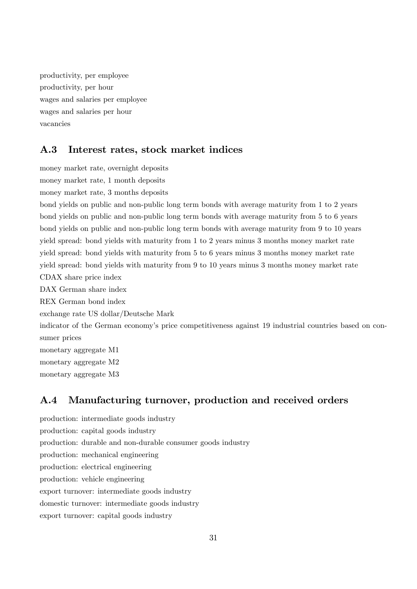productivity, per employee productivity, per hour wages and salaries per employee wages and salaries per hour vacancies

#### A.3 Interest rates, stock market indices

money market rate, overnight deposits money market rate, 1 month deposits

money market rate, 3 months deposits bond yields on public and non-public long term bonds with average maturity from 1 to 2 years bond yields on public and non-public long term bonds with average maturity from 5 to 6 years bond yields on public and non-public long term bonds with average maturity from 9 to 10 years yield spread: bond yields with maturity from 1 to 2 years minus 3 months money market rate yield spread: bond yields with maturity from 5 to 6 years minus 3 months money market rate yield spread: bond yields with maturity from 9 to 10 years minus 3 months money market rate CDAX share price index DAX German share index REX German bond index exchange rate US dollar/Deutsche Mark indicator of the German economy's price competitiveness against 19 industrial countries based on consumer prices monetary aggregate M1 monetary aggregate M2 monetary aggregate M3

### A.4 Manufacturing turnover, production and received orders

production: intermediate goods industry production: capital goods industry production: durable and non-durable consumer goods industry production: mechanical engineering production: electrical engineering production: vehicle engineering export turnover: intermediate goods industry domestic turnover: intermediate goods industry export turnover: capital goods industry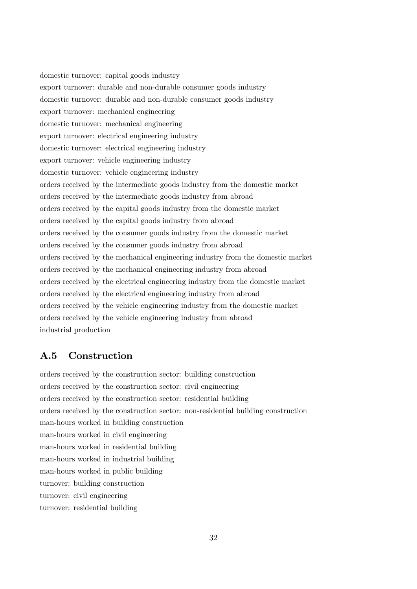domestic turnover: capital goods industry export turnover: durable and non-durable consumer goods industry domestic turnover: durable and non-durable consumer goods industry export turnover: mechanical engineering domestic turnover: mechanical engineering export turnover: electrical engineering industry domestic turnover: electrical engineering industry export turnover: vehicle engineering industry domestic turnover: vehicle engineering industry orders received by the intermediate goods industry from the domestic market orders received by the intermediate goods industry from abroad orders received by the capital goods industry from the domestic market orders received by the capital goods industry from abroad orders received by the consumer goods industry from the domestic market orders received by the consumer goods industry from abroad orders received by the mechanical engineering industry from the domestic market orders received by the mechanical engineering industry from abroad orders received by the electrical engineering industry from the domestic market orders received by the electrical engineering industry from abroad orders received by the vehicle engineering industry from the domestic market orders received by the vehicle engineering industry from abroad industrial production

### A.5 Construction

orders received by the construction sector: building construction orders received by the construction sector: civil engineering orders received by the construction sector: residential building orders received by the construction sector: non-residential building construction man-hours worked in building construction man-hours worked in civil engineering man-hours worked in residential building man-hours worked in industrial building man-hours worked in public building turnover: building construction turnover: civil engineering turnover: residential building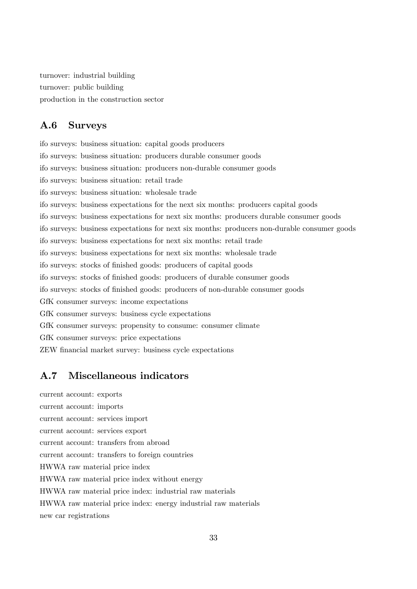turnover: industrial building turnover: public building production in the construction sector

#### A.6 Surveys

ifo surveys: business situation: capital goods producers ifo surveys: business situation: producers durable consumer goods ifo surveys: business situation: producers non-durable consumer goods ifo surveys: business situation: retail trade ifo surveys: business situation: wholesale trade ifo surveys: business expectations for the next six months: producers capital goods ifo surveys: business expectations for next six months: producers durable consumer goods ifo surveys: business expectations for next six months: producers non-durable consumer goods ifo surveys: business expectations for next six months: retail trade ifo surveys: business expectations for next six months: wholesale trade ifo surveys: stocks of Önished goods: producers of capital goods ifo surveys: stocks of Önished goods: producers of durable consumer goods ifo surveys: stocks of finished goods: producers of non-durable consumer goods GfK consumer surveys: income expectations GfK consumer surveys: business cycle expectations GfK consumer surveys: propensity to consume: consumer climate GfK consumer surveys: price expectations ZEW financial market survey: business cycle expectations

#### A.7 Miscellaneous indicators

current account: exports current account: imports current account: services import current account: services export current account: transfers from abroad current account: transfers to foreign countries HWWA raw material price index HWWA raw material price index without energy HWWA raw material price index: industrial raw materials HWWA raw material price index: energy industrial raw materials new car registrations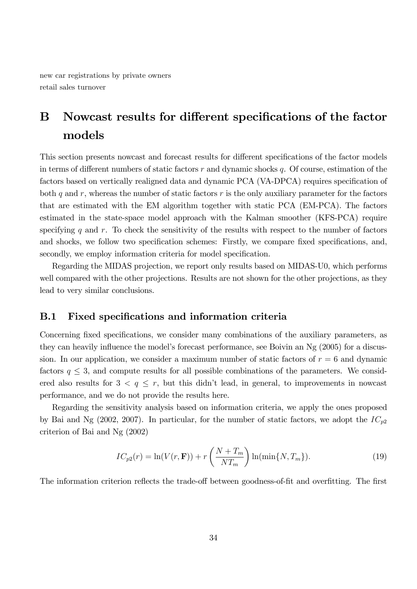new car registrations by private owners retail sales turnover

## B Nowcast results for different specifications of the factor models

This section presents nowcast and forecast results for different specifications of the factor models in terms of different numbers of static factors  $r$  and dynamic shocks  $q$ . Of course, estimation of the factors based on vertically realigned data and dynamic PCA (VA-DPCA) requires specification of both q and r, whereas the number of static factors r is the only auxiliary parameter for the factors that are estimated with the EM algorithm together with static PCA (EM-PCA). The factors estimated in the state-space model approach with the Kalman smoother (KFS-PCA) require specifying q and  $r$ . To check the sensitivity of the results with respect to the number of factors and shocks, we follow two specification schemes: Firstly, we compare fixed specifications, and, secondly, we employ information criteria for model specification.

Regarding the MIDAS projection, we report only results based on MIDAS-U0, which performs well compared with the other projections. Results are not shown for the other projections, as they lead to very similar conclusions.

#### B.1 Fixed specifications and information criteria

Concerning fixed specifications, we consider many combinations of the auxiliary parameters, as they can heavily influence the model's forecast performance, see Boivin an  $Ng(2005)$  for a discussion. In our application, we consider a maximum number of static factors of  $r = 6$  and dynamic factors  $q \leq 3$ , and compute results for all possible combinations of the parameters. We considered also results for  $3 < q \leq r$ , but this didn't lead, in general, to improvements in nowcast performance, and we do not provide the results here.

Regarding the sensitivity analysis based on information criteria, we apply the ones proposed by Bai and Ng (2002, 2007). In particular, for the number of static factors, we adopt the  $IC_{p2}$ criterion of Bai and Ng (2002)

$$
IC_{p2}(r) = \ln(V(r, \mathbf{F})) + r\left(\frac{N + T_m}{NT_m}\right) \ln(\min\{N, T_m\}).
$$
\n(19)

The information criterion reflects the trade-off between goodness-of-fit and overfitting. The first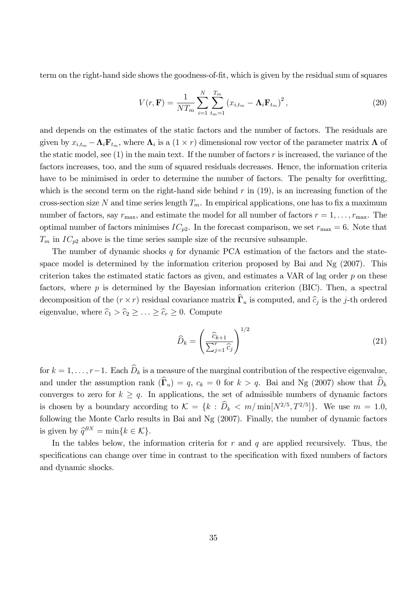term on the right-hand side shows the goodness-of-fit, which is given by the residual sum of squares

$$
V(r, \mathbf{F}) = \frac{1}{NT_m} \sum_{i=1}^{N} \sum_{t_m=1}^{T_m} (x_{i, t_m} - \mathbf{\Lambda}_i \mathbf{F}_{t_m})^2,
$$
\n(20)

and depends on the estimates of the static factors and the number of factors. The residuals are given by  $x_{i,t_m} - \Lambda_i \mathbf{F}_{t_m}$ , where  $\Lambda_i$  is a  $(1 \times r)$  dimensional row vector of the parameter matrix  $\Lambda$  of the static model, see (1) in the main text. If the number of factors  $r$  is increased, the variance of the factors increases, too, and the sum of squared residuals decreases. Hence, the information criteria have to be minimised in order to determine the number of factors. The penalty for overfitting, which is the second term on the right-hand side behind  $r$  in (19), is an increasing function of the cross-section size N and time series length  $T_m$ . In empirical applications, one has to fix a maximum number of factors, say  $r_{\text{max}}$ , and estimate the model for all number of factors  $r = 1, \ldots, r_{\text{max}}$ . The optimal number of factors minimises  $IC_{p2}$ . In the forecast comparison, we set  $r_{\text{max}} = 6$ . Note that  $T_m$  in  $IC_{p2}$  above is the time series sample size of the recursive subsample.

The number of dynamic shocks  $q$  for dynamic PCA estimation of the factors and the statespace model is determined by the information criterion proposed by Bai and Ng (2007). This criterion takes the estimated static factors as given, and estimates a VAR of lag order  $p$  on these factors, where  $p$  is determined by the Bayesian information criterion (BIC). Then, a spectral decomposition of the  $(r \times r)$  residual covariance matrix  $\Gamma_u$  is computed, and  $\hat{c}_j$  is the j-th ordered eigenvalue, where  $\hat{c}_1 > \hat{c}_2 \geq \ldots \geq \hat{c}_r \geq 0$ . Compute

$$
\widehat{D}_k = \left(\frac{\widehat{c}_{k+1}}{\sum_{j=1}^r \widehat{c}_j}\right)^{1/2} \tag{21}
$$

for  $k = 1, \ldots, r-1$ . Each  $\widehat{D}_k$  is a measure of the marginal contribution of the respective eigenvalue, and under the assumption rank  $(\widehat{\mathbf{\Gamma}}_u) = q, c_k = 0$  for  $k > q$ . Bai and Ng (2007) show that  $\widehat{D}_k$ converges to zero for  $k \geq q$ . In applications, the set of admissible numbers of dynamic factors is chosen by a boundary according to  $\mathcal{K} = \{k : \overline{D}_k < m/\min[N^{2/5}, T^{2/5}]\}\.$  We use  $m = 1.0$ , following the Monte Carlo results in Bai and Ng (2007). Finally, the number of dynamic factors is given by  $\widehat{q}^{BN} = \min\{k \in \mathcal{K}\}.$ 

In the tables below, the information criteria for  $r$  and  $q$  are applied recursively. Thus, the specifications can change over time in contrast to the specification with fixed numbers of factors and dynamic shocks.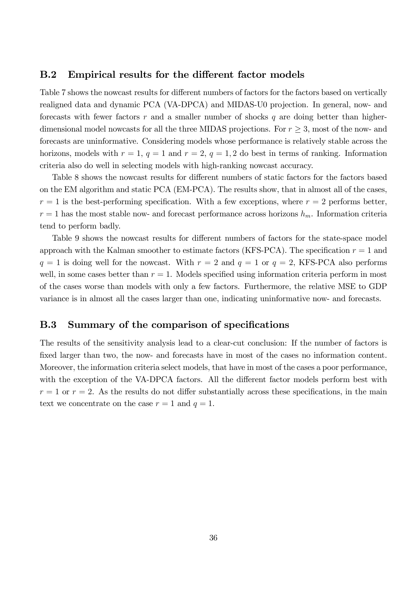#### B.2 Empirical results for the different factor models

Table 7 shows the nowcast results for different numbers of factors for the factors based on vertically realigned data and dynamic PCA (VA-DPCA) and MIDAS-U0 projection. In general, now- and forecasts with fewer factors r and a smaller number of shocks q are doing better than higherdimensional model nowcasts for all the three MIDAS projections. For  $r \geq 3$ , most of the now- and forecasts are uninformative. Considering models whose performance is relatively stable across the horizons, models with  $r = 1$ ,  $q = 1$  and  $r = 2$ ,  $q = 1, 2$  do best in terms of ranking. Information criteria also do well in selecting models with high-ranking nowcast accuracy.

Table 8 shows the nowcast results for different numbers of static factors for the factors based on the EM algorithm and static PCA (EM-PCA). The results show, that in almost all of the cases,  $r = 1$  is the best-performing specification. With a few exceptions, where  $r = 2$  performs better,  $r = 1$  has the most stable now- and forecast performance across horizons  $h_m$ . Information criteria tend to perform badly.

Table 9 shows the nowcast results for different numbers of factors for the state-space model approach with the Kalman smoother to estimate factors (KFS-PCA). The specification  $r = 1$  and  $q = 1$  is doing well for the nowcast. With  $r = 2$  and  $q = 1$  or  $q = 2$ , KFS-PCA also performs well, in some cases better than  $r = 1$ . Models specified using information criteria perform in most of the cases worse than models with only a few factors. Furthermore, the relative MSE to GDP variance is in almost all the cases larger than one, indicating uninformative now- and forecasts.

#### B.3 Summary of the comparison of specifications

The results of the sensitivity analysis lead to a clear-cut conclusion: If the number of factors is fixed larger than two, the now- and forecasts have in most of the cases no information content. Moreover, the information criteria select models, that have in most of the cases a poor performance, with the exception of the VA-DPCA factors. All the different factor models perform best with  $r = 1$  or  $r = 2$ . As the results do not differ substantially across these specifications, in the main text we concentrate on the case  $r = 1$  and  $q = 1$ .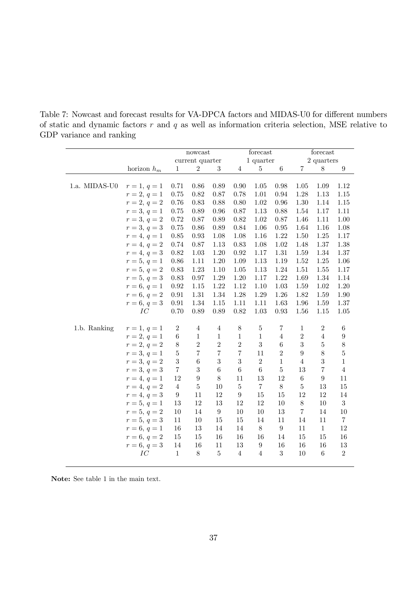Table 7: Nowcast and forecast results for VA-DPCA factors and MIDAS-U0 for different numbers of static and dynamic factors  $r$  and  $q$  as well as information criteria selection, MSE relative to GDP variance and ranking

|               |                |                         | nowcast          |                  |                  | forecast         |                  | forecast       |                  |                  |  |
|---------------|----------------|-------------------------|------------------|------------------|------------------|------------------|------------------|----------------|------------------|------------------|--|
|               |                |                         | current quarter  |                  |                  | 1 quarter        |                  |                | 2 quarters       |                  |  |
|               | horizon $h_m$  | $\mathbf{1}$            | $\boldsymbol{2}$ | 3                | 4                | $\overline{5}$   | 6                | 7              | 8                | 9                |  |
|               |                |                         |                  |                  |                  |                  |                  |                |                  |                  |  |
| 1.a. MIDAS-U0 | $r=1, q=1$     | 0.71                    | 0.86             | 0.89             | $0.90\,$         | $1.05\,$         | 0.98             | $1.05\,$       | 1.09             | 1.12             |  |
|               | $r = 2, q = 1$ | 0.75                    | 0.82             | 0.87             | 0.78             | 1.01             | 0.94             | 1.28           | $1.13\,$         | $1.15\,$         |  |
|               | $r = 2, q = 2$ | 0.76                    | 0.83             | 0.88             | 0.80             | 1.02             | 0.96             | 1.30           | 1.14             | 1.15             |  |
|               | $r = 3, q = 1$ | 0.75                    | 0.89             | 0.96             | 0.87             | 1.13             | 0.88             | 1.54           | 1.17             | 1.11             |  |
|               | $r = 3, q = 2$ | 0.72                    | 0.87             | 0.89             | 0.82             | 1.02             | 0.87             | 1.46           | 1.11             | 1.00             |  |
|               | $r = 3, q = 3$ | $0.75\,$                | 0.86             | 0.89             | 0.84             | 1.06             | 0.95             | 1.64           | 1.16             | 1.08             |  |
|               | $r = 4, q = 1$ | 0.85                    | 0.93             | 1.08             | 1.08             | 1.16             | 1.22             | 1.50           | 1.25             | 1.17             |  |
|               | $r = 4, q = 2$ | 0.74                    | 0.87             | 1.13             | 0.83             | 1.08             | $1.02\,$         | 1.48           | 1.37             | 1.38             |  |
|               | $r = 4, q = 3$ | 0.82                    | 1.03             | 1.20             | 0.92             | 1.17             | 1.31             | 1.59           | 1.34             | 1.37             |  |
|               | $r = 5, q = 1$ | 0.86                    | 1.11             | 1.20             | 1.09             | 1.13             | 1.19             | 1.52           | 1.25             | 1.06             |  |
|               | $r = 5, q = 2$ | $0.83\,$                | $1.23\,$         | 1.10             | 1.05             | 1.13             | 1.24             | 1.51           | 1.55             | 1.17             |  |
|               | $r = 5, q = 3$ | 0.83                    | 0.97             | 1.29             | 1.20             | 1.17             | 1.22             | 1.69           | 1.34             | 1.14             |  |
|               | $r = 6, q = 1$ | 0.92                    | 1.15             | 1.22             | 1.12             | 1.10             | 1.03             | 1.59           | 1.02             | 1.20             |  |
|               | $r = 6, q = 2$ | $\rm 0.91$              | $1.31\,$         | 1.34             | $1.28\,$         | 1.29             | 1.26             | 1.82           | 1.59             | 1.90             |  |
|               | $r = 6, q = 3$ | 0.91                    | 1.34             | 1.15             | $1.11\,$         | 1.11             | 1.63             | 1.96           | 1.59             | 1.37             |  |
|               | IC             | 0.70                    | 0.89             | 0.89             | $0.82\,$         | 1.03             | $\rm 0.93$       | 1.56           | 1.15             | 1.05             |  |
| 1.b. Ranking  | $r=1, q=1$     | $\overline{2}$          | $\overline{4}$   | $\overline{4}$   | $8\,$            | $\bf 5$          | 7                | $\mathbf{1}$   | $\overline{2}$   | $\;6\;$          |  |
|               | $r = 2, q = 1$ | $\,6$                   | $\,1$            | $\mathbf{1}$     | $\mathbf{1}$     | $\mathbf{1}$     | $\overline{4}$   | $\overline{2}$ | $\overline{4}$   | $\boldsymbol{9}$ |  |
|               | $r = 2, q = 2$ | $8\,$                   | $\overline{2}$   | $\sqrt{2}$       | $\overline{2}$   | 3                | $\,6$            | $\sqrt{3}$     | $\bf 5$          | $8\,$            |  |
|               | $r = 3, q = 1$ | $\overline{5}$          | $\overline{7}$   | $\overline{7}$   | $\overline{7}$   | 11               | $\overline{2}$   | $\overline{9}$ | 8                | $\overline{5}$   |  |
|               | $r = 3, q = 2$ | 3                       | $\,$ 6 $\,$      | 3                | 3                | $\sqrt{2}$       | $\mathbf{1}$     | $\overline{4}$ | $\sqrt{3}$       | $\mathbf{1}$     |  |
|               | $r = 3, q = 3$ | $\overline{\mathbf{7}}$ | 3                | $\,6$            | $\,6$            | $\,6$            | $\mathbf 5$      | 13             | $\,7$            | $\overline{4}$   |  |
|               | $r = 4, q = 1$ | 12                      | $\boldsymbol{9}$ | $8\,$            | 11               | 13               | 12               | $\,6$          | $\boldsymbol{9}$ | 11               |  |
|               | $r = 4, q = 2$ | $\overline{4}$          | $\overline{5}$   | 10               | $\bf 5$          | $\,7$            | $8\,$            | $\bf 5$        | 13               | 15               |  |
|               | $r = 4, q = 3$ | $\boldsymbol{9}$        | 11               | 12               | $\boldsymbol{9}$ | 15               | 15               | 12             | 12               | 14               |  |
|               | $r = 5, q = 1$ | 13                      | 12               | 13               | 12               | 12               | $10\,$           | $8\,$          | $10\,$           | $\boldsymbol{3}$ |  |
|               | $r = 5, q = 2$ | $10\,$                  | 14               | $\boldsymbol{9}$ | 10               | 10               | 13               | $\,7$          | 14               | 10               |  |
|               | $r = 5, q = 3$ | 11                      | $10\,$           | 15               | 15               | 14               | 11               | 14             | 11               | $\,7$            |  |
|               | $r = 6, q = 1$ | 16                      | 13               | 14               | 14               | $8\,$            | $\boldsymbol{9}$ | 11             | $\mathbf{1}$     | 12               |  |
|               | $r = 6, q = 2$ | 15                      | 15               | 16               | 16               | 16               | 14               | 15             | 15               | 16               |  |
|               | $r = 6, q = 3$ | 14                      | 16               | 11               | 13               | $\boldsymbol{9}$ | 16               | 16             | 16               | 13               |  |
|               | $_{IC}$        | $\mathbf{1}$            | $8\,$            | $5\,$            | $\overline{4}$   | $\overline{4}$   | 3                | 10             | $\,6\,$          | $\overline{2}$   |  |

Note: See table 1 in the main text.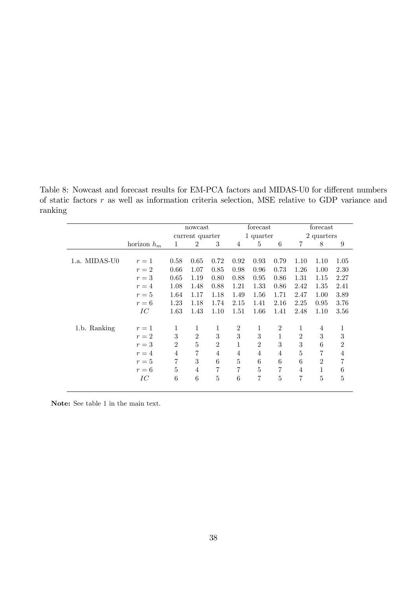Table 8: Nowcast and forecast results for EM-PCA factors and MIDAS-U0 for different numbers of static factors r as well as information criteria selection, MSE relative to GDP variance and ranking

|               |               |                | nowcast         |                |                | forecast       |                | forecast       |                |                |  |
|---------------|---------------|----------------|-----------------|----------------|----------------|----------------|----------------|----------------|----------------|----------------|--|
|               |               |                | current quarter |                |                | 1 quarter      |                | 2 quarters     |                |                |  |
|               | horizon $h_m$ | 1              | $\overline{2}$  | 3              | $\overline{4}$ | 5              | 6              | $\overline{7}$ | 8              | 9              |  |
| 1.a. MIDAS-U0 | $r=1$         | 0.58           | 0.65            | 0.72           | 0.92           | 0.93           | 0.79           | 1.10           | 1.10           | 1.05           |  |
|               | $r=2$         | 0.66           | 1.07            | 0.85           | 0.98           | 0.96           | 0.73           | 1.26           | 1.00           | 2.30           |  |
|               | $r=3$         | 0.65           | 1.19            | 0.80           | 0.88           | 0.95           | 0.86           | 1.31           | 1.15           | 2.27           |  |
|               | $r=4$         | 1.08           | 1.48            | 0.88           | 1.21           | 1.33           | 0.86           | 2.42           | 1.35           | 2.41           |  |
|               | $r=5$         | 1.64           | 1.17            | 1.18           | 1.49           | 1.56           | 1.71           | 2.47           | 1.00           | 3.89           |  |
|               | $r=6$         | 1.23           | 1.18            | 1.74           | 2.15           | 1.41           | 2.16           | 2.25           | 0.95           | 3.76           |  |
|               | IС            | 1.63           | 1.43            | 1.10           | 1.51           | 1.66           | 1.41           | 2.48           | 1.10           | 3.56           |  |
| 1.b. Ranking  | $r=1$         | 1              | 1               | 1              | $\overline{2}$ | 1              | $\overline{2}$ | 1              | $\overline{4}$ | 1              |  |
|               | $r=2$         | 3              | $\overline{2}$  | 3              | 3              | 3              | 1              | $\overline{2}$ | 3              | 3              |  |
|               | $r=3$         | $\overline{2}$ | 5               | $\overline{2}$ | $\mathbf{1}$   | $\overline{2}$ | 3              | 3              | 6              | $\overline{2}$ |  |
|               | $r=4$         | $\overline{4}$ | 7               | $\overline{4}$ | $\overline{4}$ | $\overline{4}$ | $\overline{4}$ | 5              | 7              | $\overline{4}$ |  |
|               | $r=5$         | 7              | 3               | 6              | 5              | 6              | 6              | 6              | $\overline{2}$ | 7              |  |
|               | $r=6$         | 5              | 4               | 7              | $\overline{7}$ | $\overline{5}$ | 7              | 4              | 1              | 6              |  |
|               | IС            | 6              | 6               | 5              | 6              | 7              | 5              | 7              | 5              | 5              |  |

Note: See table 1 in the main text.